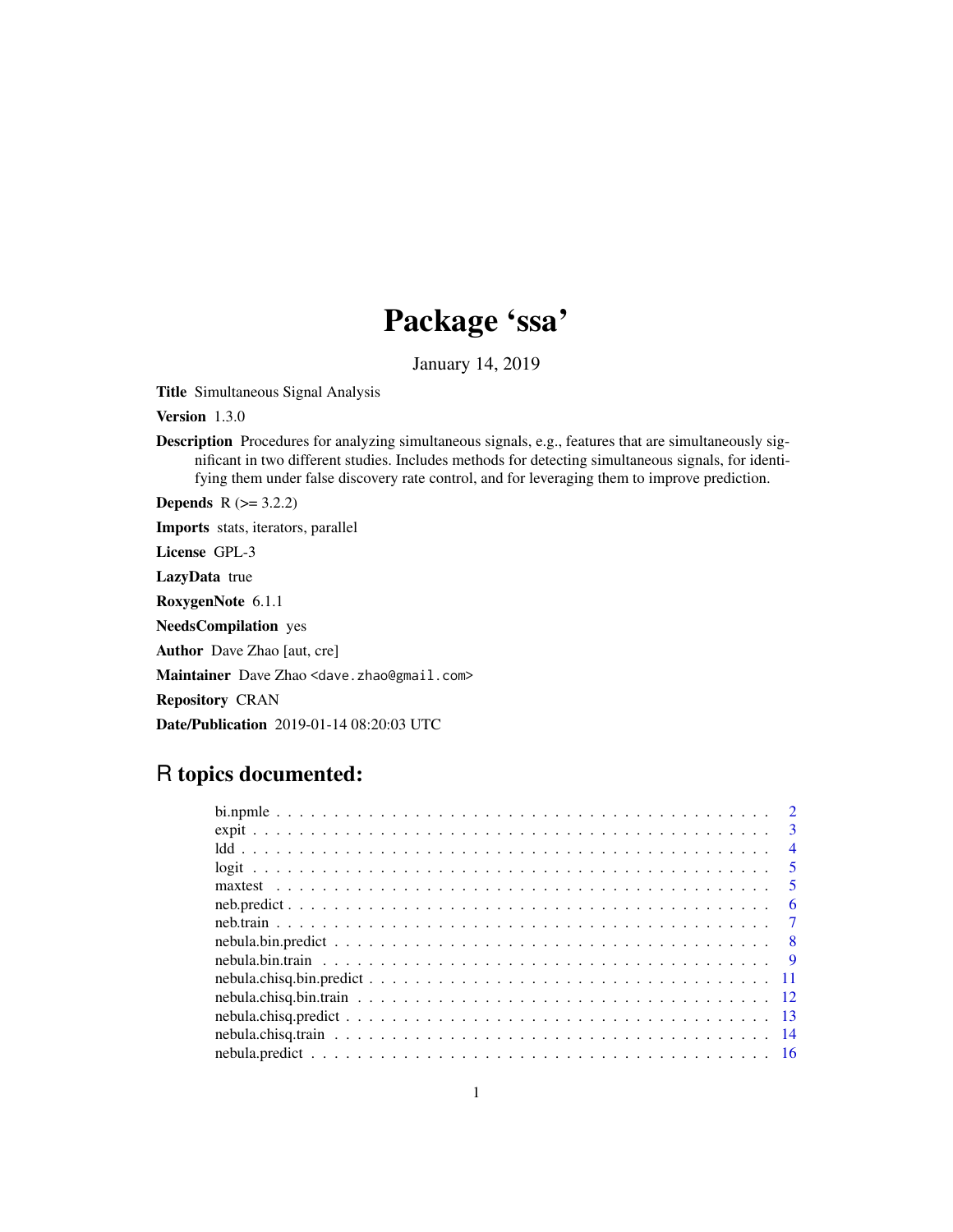# Package 'ssa'

January 14, 2019

Title Simultaneous Signal Analysis

Version 1.3.0

Description Procedures for analyzing simultaneous signals, e.g., features that are simultaneously significant in two different studies. Includes methods for detecting simultaneous signals, for identifying them under false discovery rate control, and for leveraging them to improve prediction.

**Depends**  $R$  ( $>= 3.2.2$ )

Imports stats, iterators, parallel

License GPL-3

LazyData true

RoxygenNote 6.1.1

NeedsCompilation yes

Author Dave Zhao [aut, cre]

Maintainer Dave Zhao <dave.zhao@gmail.com>

Repository CRAN

Date/Publication 2019-01-14 08:20:03 UTC

## R topics documented:

| $\overline{2}$          |
|-------------------------|
| $\mathcal{R}$           |
| $\overline{4}$          |
| 5 <sup>5</sup>          |
| $\overline{\mathbf{5}}$ |
| -6                      |
| $\overline{7}$          |
| - 8                     |
|                         |
|                         |
|                         |
|                         |
|                         |
|                         |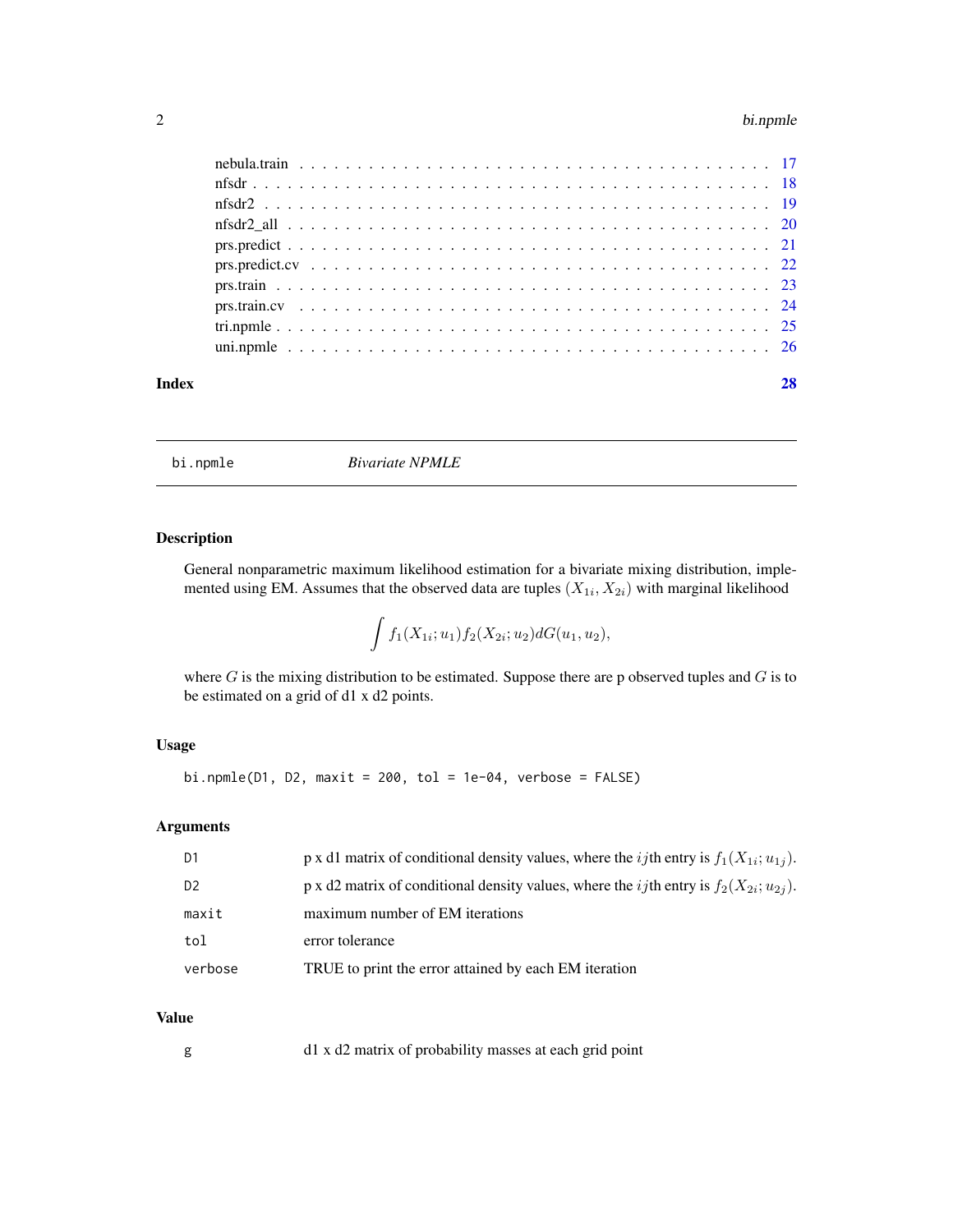#### <span id="page-1-0"></span>2 bi.npmle

| Index |  |
|-------|--|
|       |  |
|       |  |
|       |  |
|       |  |
|       |  |
|       |  |
|       |  |
|       |  |
|       |  |
|       |  |

bi.npmle *Bivariate NPMLE*

#### Description

General nonparametric maximum likelihood estimation for a bivariate mixing distribution, implemented using EM. Assumes that the observed data are tuples  $(X_{1i}, X_{2i})$  with marginal likelihood

$$
\int f_1(X_{1i}; u_1) f_2(X_{2i}; u_2) dG(u_1, u_2),
$$

where  $G$  is the mixing distribution to be estimated. Suppose there are p observed tuples and  $G$  is to be estimated on a grid of d1 x d2 points.

#### Usage

bi.npmle(D1, D2, maxit =  $200$ , tol =  $1e-04$ , verbose =  $FALSE$ )

#### Arguments

| D <sub>1</sub> | p x d1 matrix of conditional density values, where the <i>ij</i> th entry is $f_1(X_{1i}; u_{1i})$ . |
|----------------|------------------------------------------------------------------------------------------------------|
| D <sub>2</sub> | p x d2 matrix of conditional density values, where the <i>ij</i> th entry is $f_2(X_{2i}; u_{2i})$ . |
| maxit          | maximum number of EM iterations                                                                      |
| tol            | error tolerance                                                                                      |
| verbose        | TRUE to print the error attained by each EM iteration                                                |

#### Value

g d1 x d2 matrix of probability masses at each grid point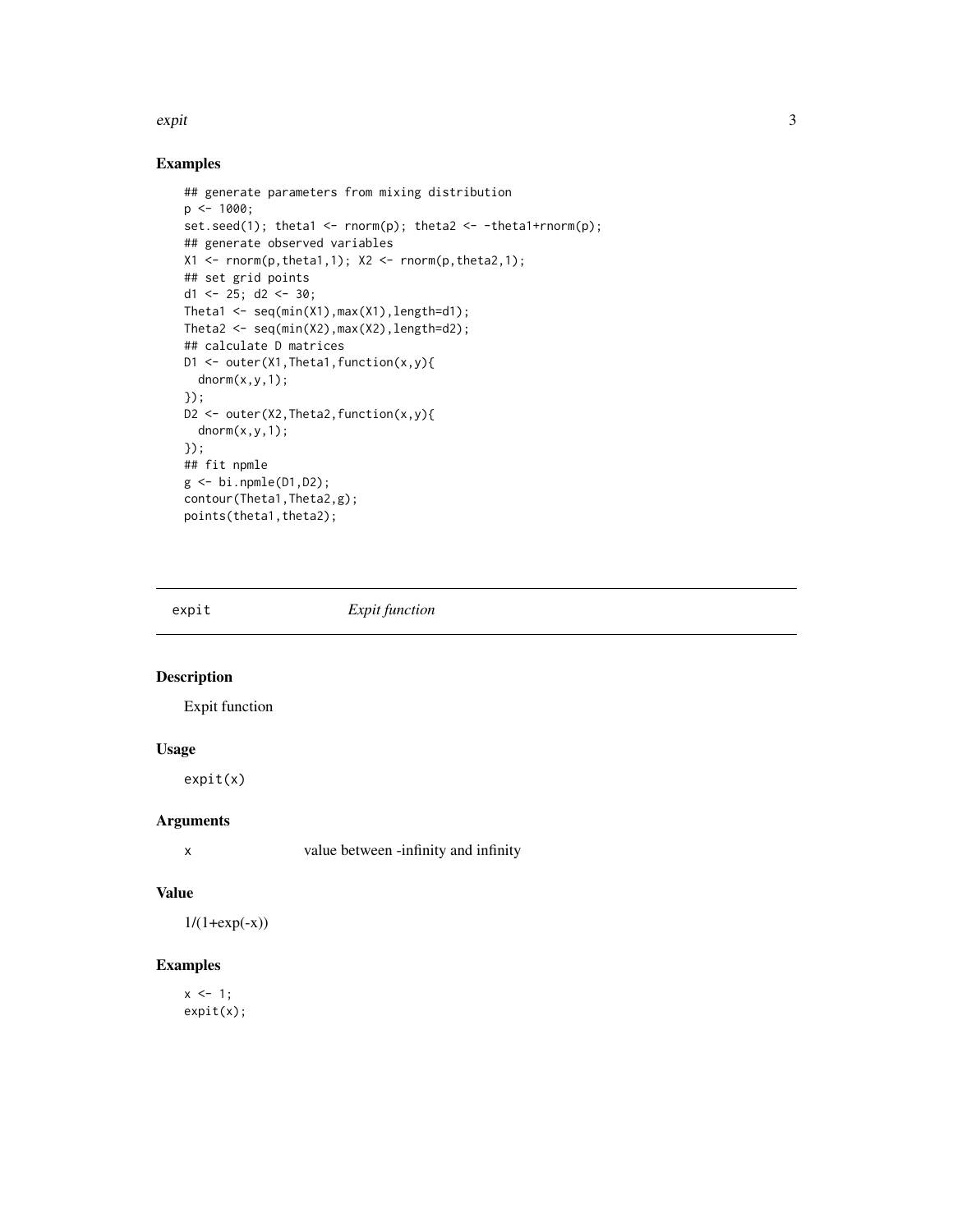#### <span id="page-2-0"></span>expit 3

## Examples

```
## generate parameters from mixing distribution
p \le -1000;
set.seed(1); theta1 <- rnorm(p); theta2 <- -theta1+rnorm(p);
## generate observed variables
X1 \leftarrow \text{norm}(p,\text{theta1},1); X2 \leftarrow \text{norm}(p,\text{theta2},1);## set grid points
d1 <- 25; d2 <- 30;
Theta1 \leq seq(min(X1), max(X1), length=d1);
Theta2 \leq seq(min(X2), max(X2), length=d2);
## calculate D matrices
D1 <- outer(X1,Theta1,function(x,y){
  dnorm(x,y,1);
});
D2 \leq outer(X2, Theta2, function(x, y){
  dnorm(x, y, 1);});
## fit npmle
g <- bi.npmle(D1,D2);
contour(Theta1,Theta2,g);
points(theta1,theta2);
```
expit *Expit function*

#### Description

Expit function

#### Usage

expit(x)

#### Arguments

x value between -infinity and infinity

#### Value

 $1/(1+exp(-x))$ 

#### Examples

 $x \le -1$ ; expit(x);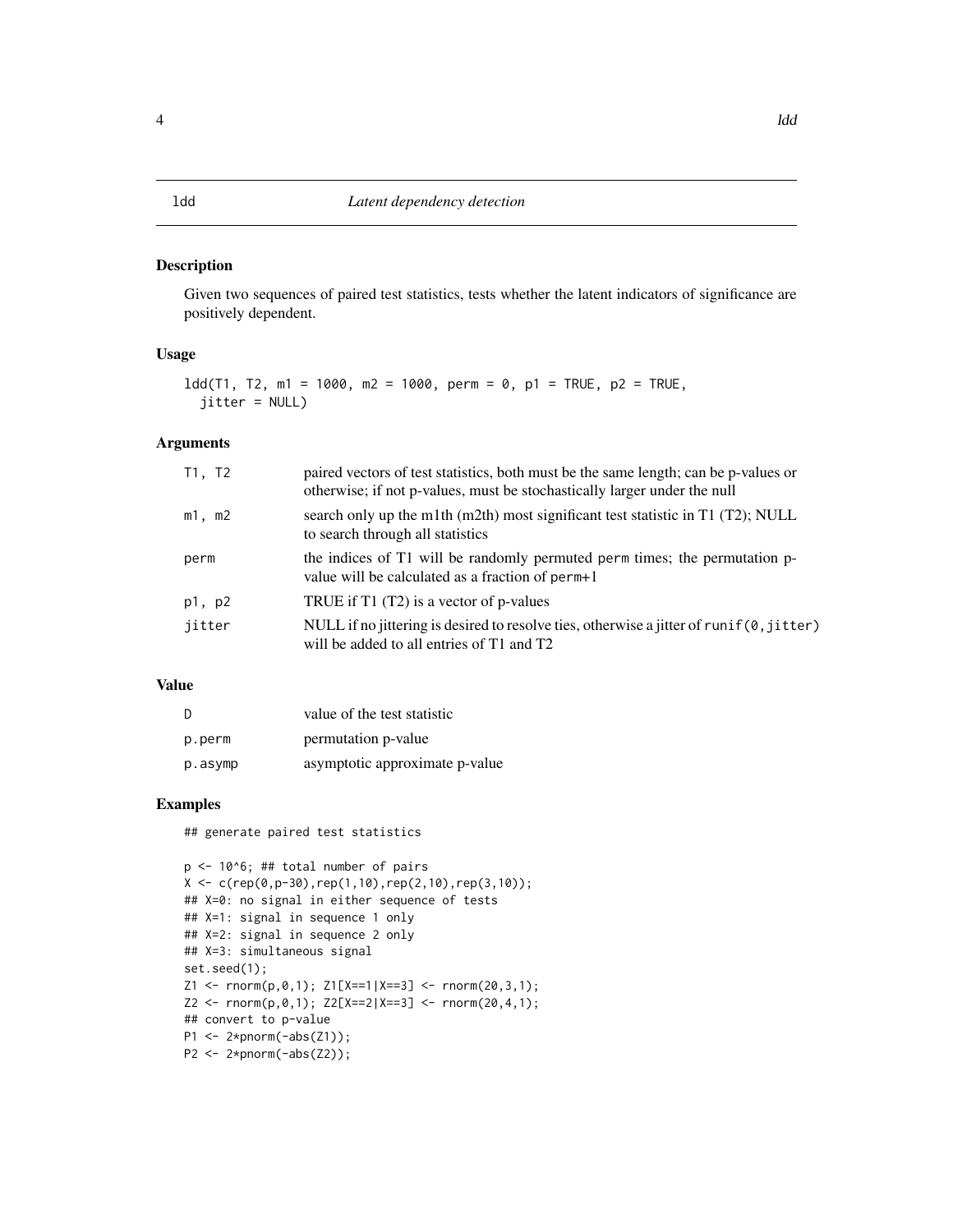#### <span id="page-3-0"></span>Description

Given two sequences of paired test statistics, tests whether the latent indicators of significance are positively dependent.

#### Usage

```
ldd(T1, T2, m1 = 1000, m2 = 1000, perm = 0, p1 = TRUE, p2 = TRUE,
  jitter = NULL)
```
#### Arguments

| T1, T2 | paired vectors of test statistics, both must be the same length; can be p-values or<br>otherwise; if not p-values, must be stochastically larger under the null |
|--------|-----------------------------------------------------------------------------------------------------------------------------------------------------------------|
| m1, m2 | search only up the m1th $(m2th)$ most significant test statistic in T1 $(T2)$ ; NULL<br>to search through all statistics                                        |
| perm   | the indices of T1 will be randomly permuted perm times; the permutation p-<br>value will be calculated as a fraction of perm+1                                  |
| p1, p2 | TRUE if T1 (T2) is a vector of p-values                                                                                                                         |
| jitter | NULL if no jittering is desired to resolve ties, otherwise a jitter of runif $(0,$ jitter)<br>will be added to all entries of T1 and T2                         |

#### Value

| <sup>D</sup> | value of the test statistic    |
|--------------|--------------------------------|
| p.perm       | permutation p-value            |
| p.asymp      | asymptotic approximate p-value |

#### Examples

## generate paired test statistics

```
p \le -10<sup>6</sup>; ## total number of pairs
X \leftarrow c(rep(\emptyset, p-3\emptyset), rep(1,1\emptyset),rep(2,1\emptyset),rep(3,1\emptyset));## X=0: no signal in either sequence of tests
## X=1: signal in sequence 1 only
## X=2: signal in sequence 2 only
## X=3: simultaneous signal
set.seed(1);
Z1 <- rnorm(p,0,1); Z1[X==1|X==3] <- rnorm(20,3,1);
Z2 \leq -\text{norm}(p, \emptyset, 1); \ Z2[X==2|X==3] \leq -\text{norm}(2\emptyset, 4, 1);## convert to p-value
P1 \leftarrow 2*pnorm(-abs(Z1));
P2 \leq 2*pnorm(-abs(Z2));
```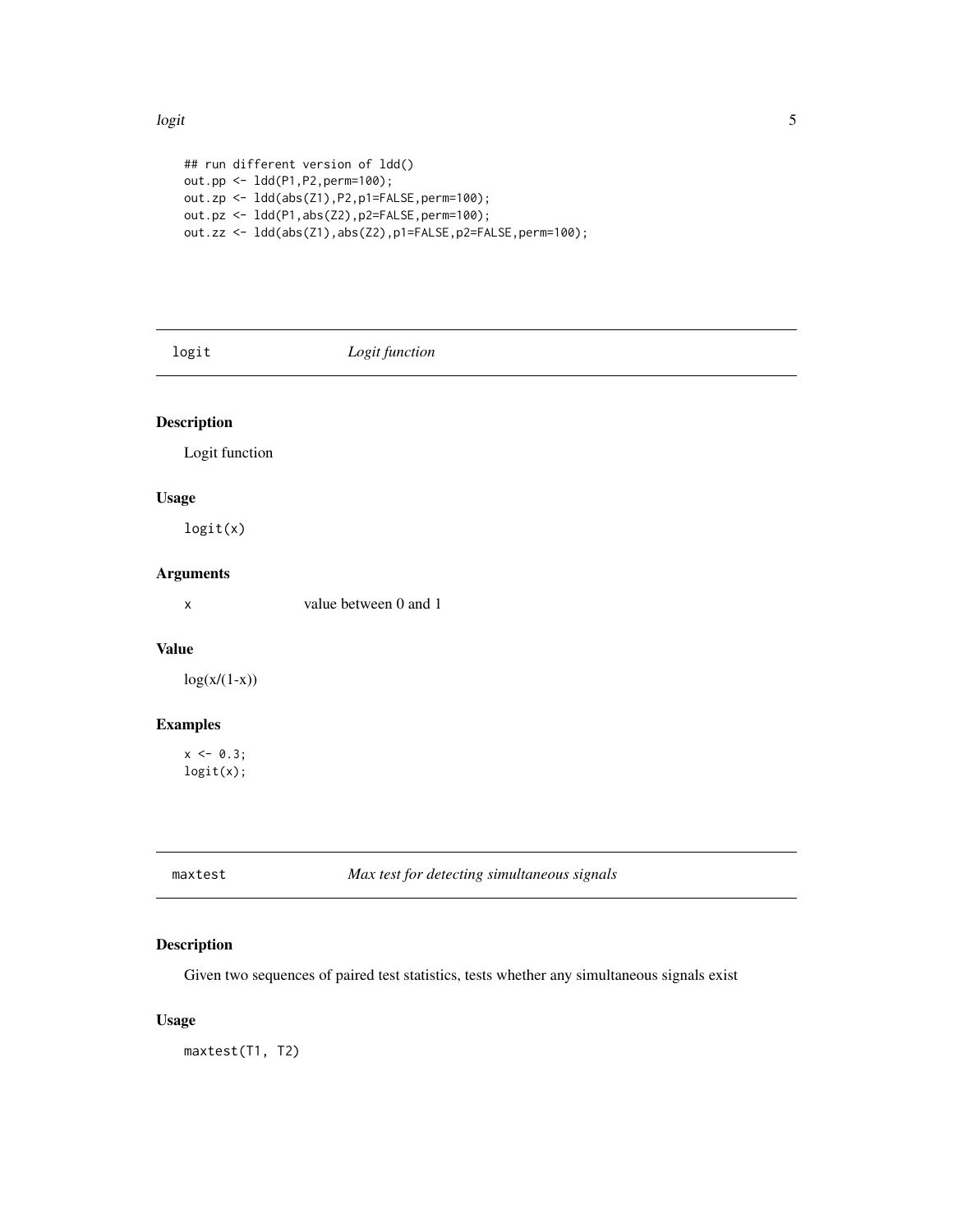#### <span id="page-4-0"></span>logit 5 and 5 and 5 and 5 and 5 and 5 and 5 and 5 and 5 and 5 and 5 and 5 and 5 and 5 and 5 and 5 and 5 and 5

```
## run different version of ldd()
out.pp <- ldd(P1,P2,perm=100);
out.zp <- ldd(abs(Z1),P2,p1=FALSE,perm=100);
out.pz <- ldd(P1,abs(Z2),p2=FALSE,perm=100);
out.zz <- ldd(abs(Z1),abs(Z2),p1=FALSE,p2=FALSE,perm=100);
```
#### logit *Logit function*

## Description

Logit function

#### Usage

logit(x)

#### Arguments

x value between 0 and 1

#### Value

 $log(x/(1-x))$ 

#### Examples

 $x \le -0.3$ ; logit(x);

| maxtes |  |
|--------|--|
|--------|--|

maxtest *Max test for detecting simultaneous signals*

#### Description

Given two sequences of paired test statistics, tests whether any simultaneous signals exist

#### Usage

maxtest(T1, T2)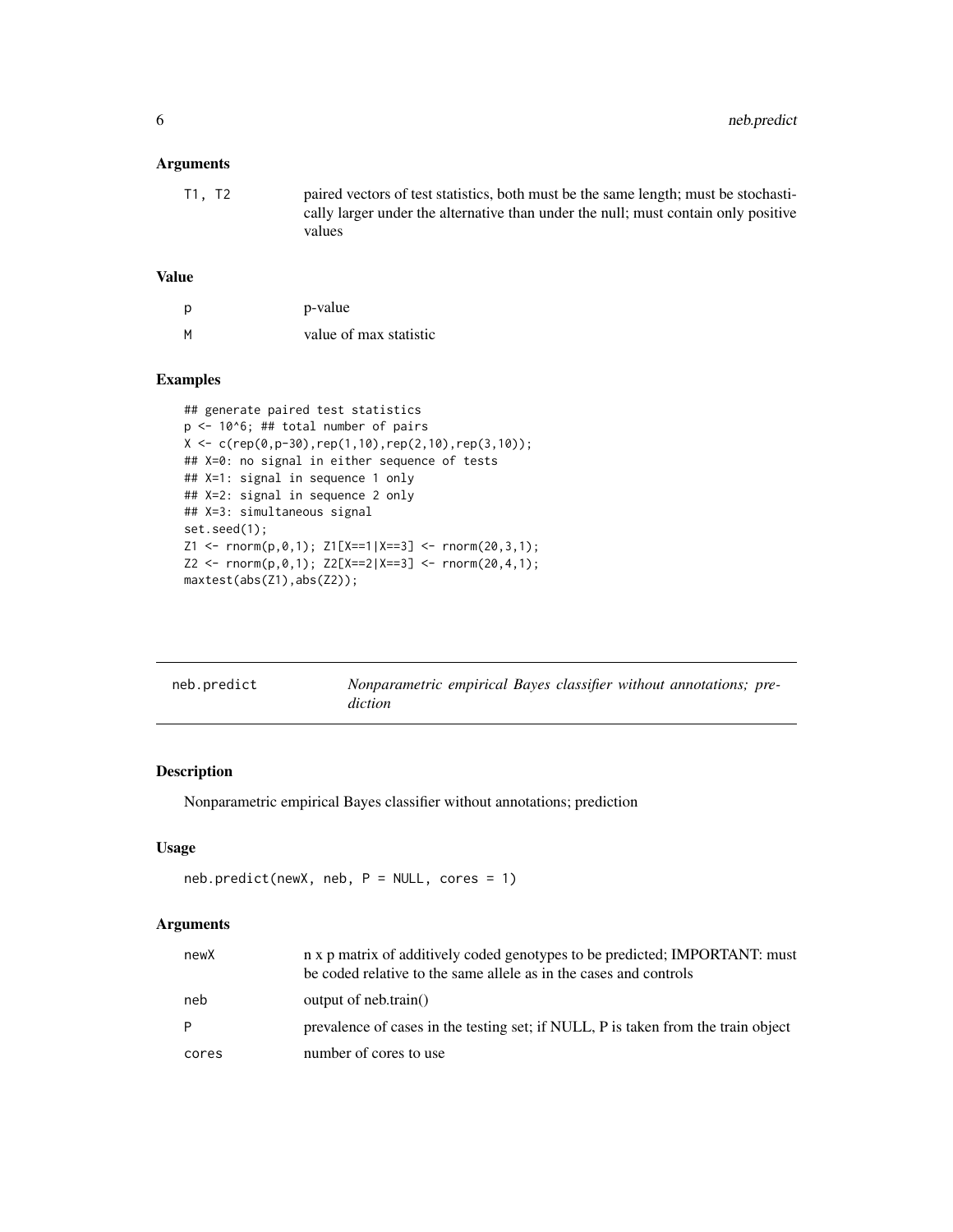#### <span id="page-5-0"></span>Arguments

| T1, T2 | paired vectors of test statistics, both must be the same length; must be stochasti- |
|--------|-------------------------------------------------------------------------------------|
|        | cally larger under the alternative than under the null; must contain only positive  |
|        | values                                                                              |

#### Value

| р | p-value                |
|---|------------------------|
| М | value of max statistic |

#### Examples

```
## generate paired test statistics
p <- 10^6; ## total number of pairs
X \leftarrow c(rep(\emptyset, p-3\emptyset), rep(1,1\emptyset),rep(2,1\emptyset),rep(3,1\emptyset));## X=0: no signal in either sequence of tests
## X=1: signal in sequence 1 only
## X=2: signal in sequence 2 only
## X=3: simultaneous signal
set.seed(1);
Z1 \leq -\text{rnorm}(p, \emptyset, 1); \ Z1[X==1|X==3] \leq -\text{rnorm}(2\emptyset, 3, 1);Z2 \leq -\text{norm}(p, \emptyset, 1); \ Z2[X == 2|X == 3] \leq -\text{norm}(2\emptyset, 4, 1);maxtest(abs(Z1),abs(Z2));
```

| neb.predict | Nonparametric empirical Bayes classifier without annotations; pre-<br>diction |
|-------------|-------------------------------------------------------------------------------|
|             |                                                                               |

#### Description

Nonparametric empirical Bayes classifier without annotations; prediction

#### Usage

```
neb.predict(newX, neb, P = NULL, cores = 1)
```
#### Arguments

| newX  | n x p matrix of additively coded genotypes to be predicted; IMPORTANT: must<br>be coded relative to the same allele as in the cases and controls |
|-------|--------------------------------------------------------------------------------------------------------------------------------------------------|
| neb   | output of neb.train()                                                                                                                            |
| P     | prevalence of cases in the testing set; if NULL, P is taken from the train object                                                                |
| cores | number of cores to use                                                                                                                           |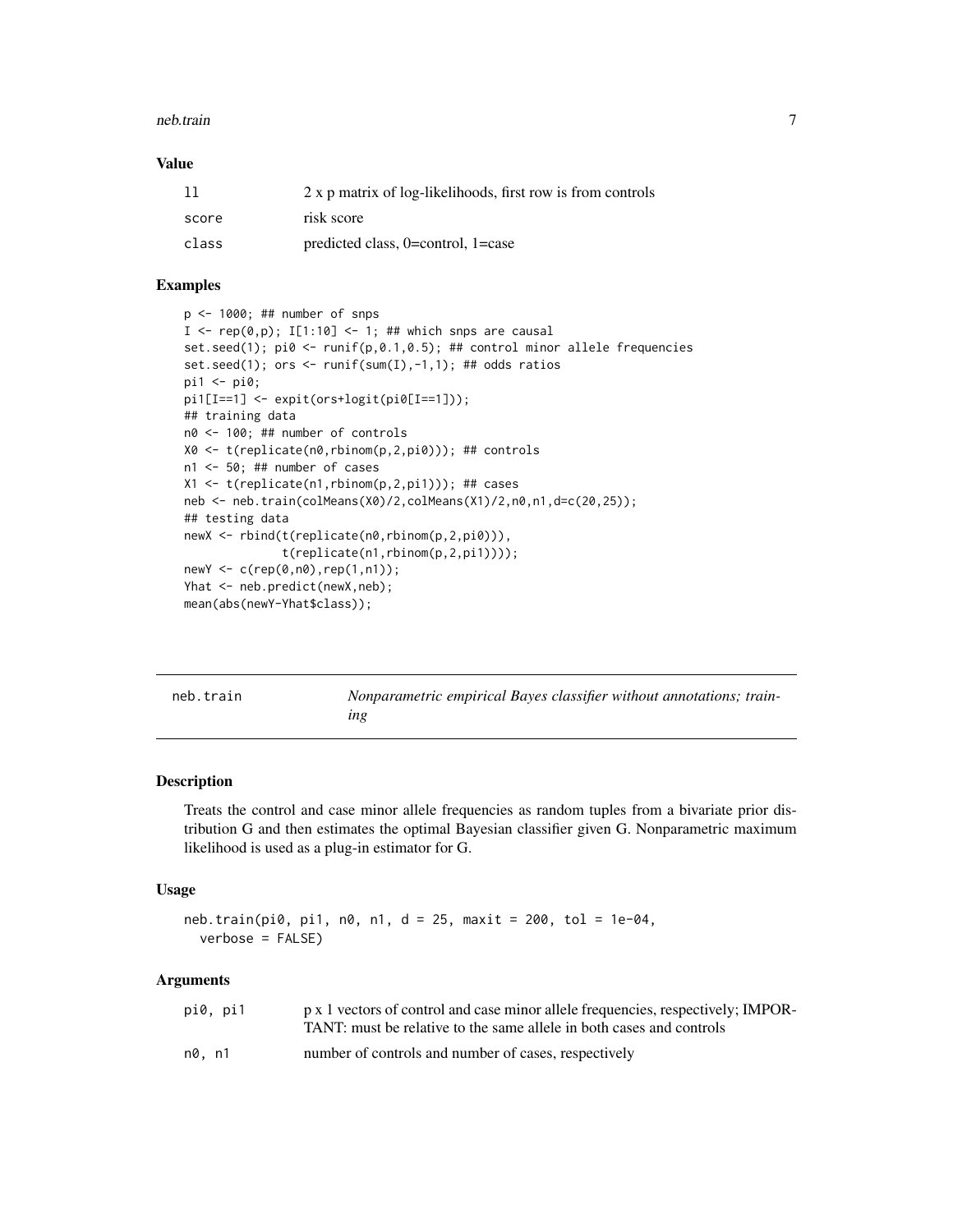#### <span id="page-6-0"></span>neb.train 7

#### Value

| 11    | 2 x p matrix of log-likelihoods, first row is from controls |
|-------|-------------------------------------------------------------|
| score | risk score                                                  |
| class | predicted class, $0=$ control, $1=$ case                    |

#### Examples

```
p <- 1000; ## number of snps
I <- rep(\emptyset, p); I[1:10] <- 1; ## which snps are causal
set.seed(1); pi \, 0 \le -r \, \text{unif}(p, 0.1, 0.5); ## control minor allele frequencies
set.seed(1); ors <- runif(sum(I),-1,1); ## odds ratios
pi1 < -pi0;
pi1[I==1] <- expit(ors+logit(pi0[I==1]));
## training data
n0 <- 100; ## number of controls
X0 <- t(replicate(n0,rbinom(p,2,pi0))); ## controls
n1 <- 50; ## number of cases
X1 <- t(replicate(n1,rbinom(p,2,pi1))); ## cases
neb <- neb.train(colMeans(X0)/2,colMeans(X1)/2,n0,n1,d=c(20,25));
## testing data
newX <- rbind(t(replicate(n0,rbinom(p,2,pi0))),
               t(replicate(n1,rbinom(p,2,pi1))));
newY <- c(rep(0,n0),rep(1,n1));
Yhat <- neb.predict(newX,neb);
mean(abs(newY-Yhat$class));
```

| neb.train |  |  |
|-----------|--|--|
|           |  |  |
|           |  |  |
|           |  |  |

*Nonparametric empirical Bayes classifier without annotations; training*

#### Description

Treats the control and case minor allele frequencies as random tuples from a bivariate prior distribution G and then estimates the optimal Bayesian classifier given G. Nonparametric maximum likelihood is used as a plug-in estimator for G.

#### Usage

```
neb.train(pi0, pi1, n0, n1, d = 25, maxit = 200, tol = 1e-04,
  verbose = FALSE)
```
#### Arguments

| pi0, pi1 | p x 1 vectors of control and case minor allele frequencies, respectively; IMPOR-<br>TANT: must be relative to the same allele in both cases and controls |
|----------|----------------------------------------------------------------------------------------------------------------------------------------------------------|
| n0. n1   | number of controls and number of cases, respectively                                                                                                     |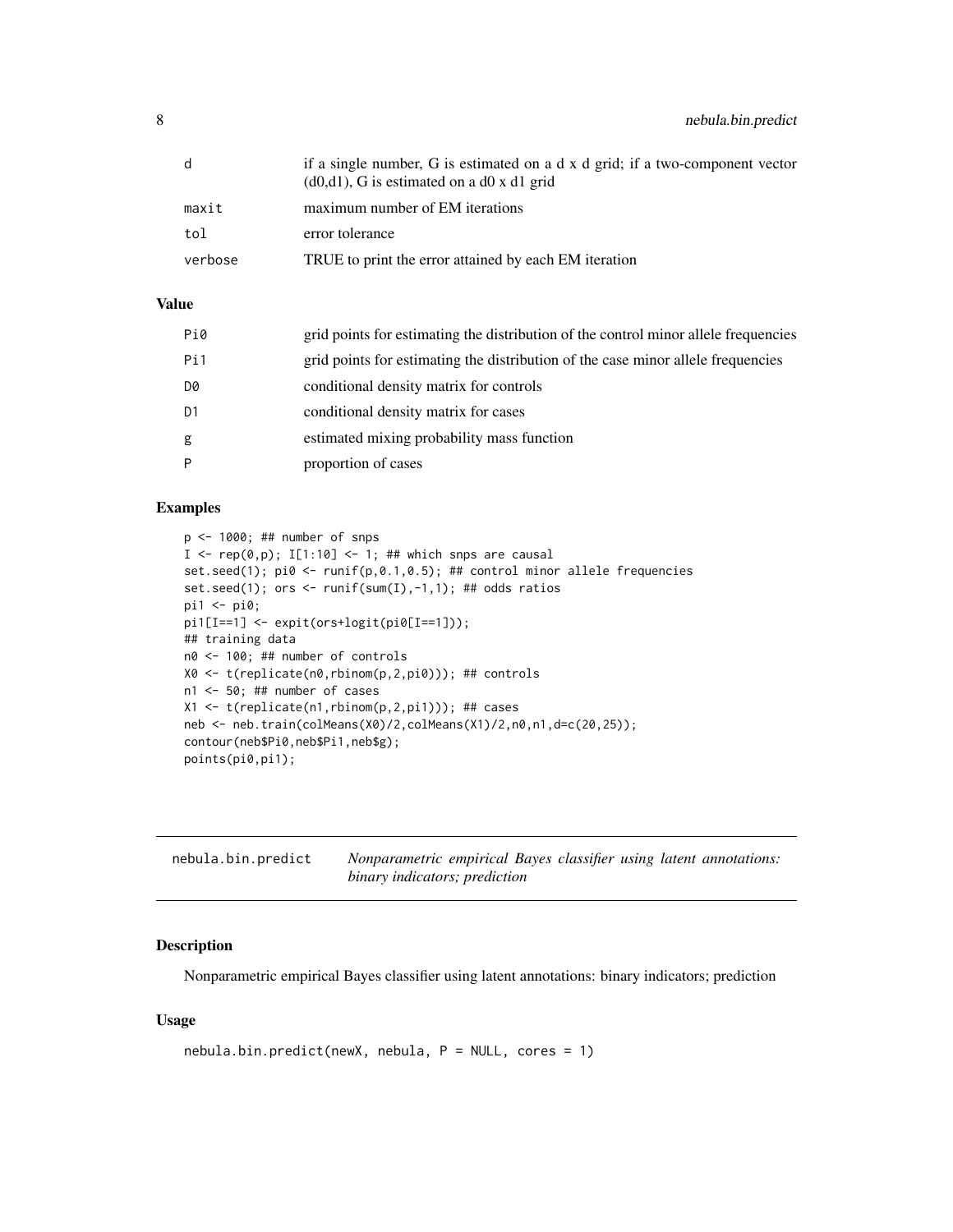<span id="page-7-0"></span>

|         | if a single number, G is estimated on a d x d grid; if a two-component vector<br>$(d0,d1)$ , G is estimated on a d0 x d1 grid |
|---------|-------------------------------------------------------------------------------------------------------------------------------|
| maxit   | maximum number of EM iterations                                                                                               |
| tol     | error tolerance                                                                                                               |
| verbose | TRUE to print the error attained by each EM iteration                                                                         |

#### Value

| Pi0 | grid points for estimating the distribution of the control minor allele frequencies |
|-----|-------------------------------------------------------------------------------------|
| Pi1 | grid points for estimating the distribution of the case minor allele frequencies    |
| D0  | conditional density matrix for controls                                             |
| D1  | conditional density matrix for cases                                                |
| g   | estimated mixing probability mass function                                          |
| P   | proportion of cases                                                                 |
|     |                                                                                     |

#### Examples

```
p <- 1000; ## number of snps
I \leftarrow \text{rep}(\emptyset, p); I[1:10] \leftarrow 1; ## which snps are causal
set.seed(1); pi0 <- runif(p,0.1,0.5); ## control minor allele frequencies
set.seed(1); ors <- runif(sum(I),-1,1); ## odds ratios
pi1 <- pi0;
pi1[I==1] <- expit(ors+logit(pi0[I==1]));
## training data
n0 <- 100; ## number of controls
X0 <- t(replicate(n0,rbinom(p,2,pi0))); ## controls
n1 <- 50; ## number of cases
X1 <- t(replicate(n1,rbinom(p,2,pi1))); ## cases
neb <- neb.train(colMeans(X0)/2,colMeans(X1)/2,n0,n1,d=c(20,25));
contour(neb$Pi0,neb$Pi1,neb$g);
points(pi0,pi1);
```

| nebula.bin.predict | Nonparametric empirical Bayes classifier using latent annotations: |
|--------------------|--------------------------------------------------------------------|
|                    | binary indicators; prediction                                      |

#### Description

Nonparametric empirical Bayes classifier using latent annotations: binary indicators; prediction

#### Usage

```
nebula.bin.predict(newX, nebula, P = NULL, cores = 1)
```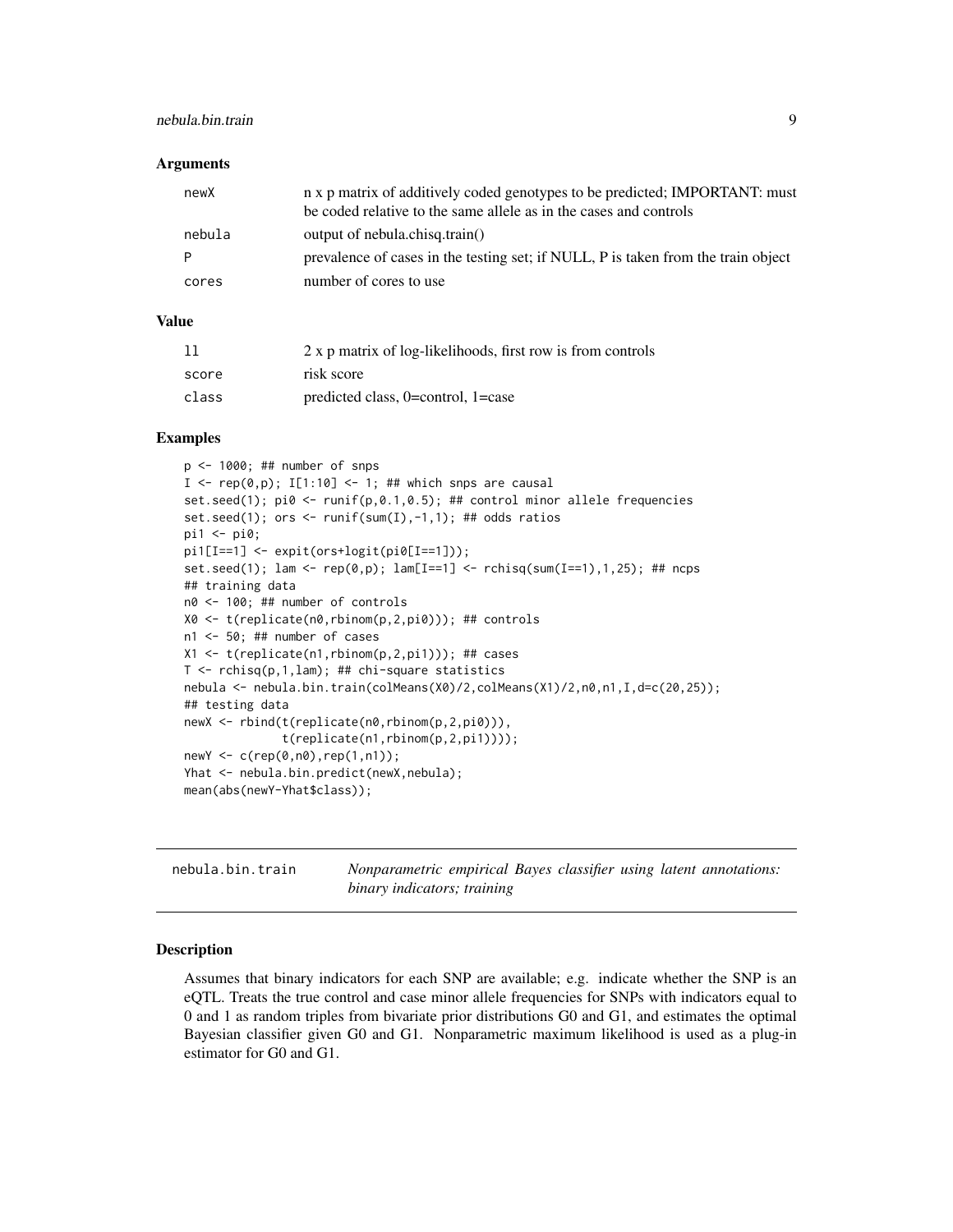#### <span id="page-8-0"></span>nebula.bin.train 9

#### Arguments

| newX   | n x p matrix of additively coded genotypes to be predicted; IMPORTANT: must<br>be coded relative to the same allele as in the cases and controls |
|--------|--------------------------------------------------------------------------------------------------------------------------------------------------|
| nebula | output of nebula.chisq.train()                                                                                                                   |
| P      | prevalence of cases in the testing set; if NULL, P is taken from the train object                                                                |
| cores  | number of cores to use                                                                                                                           |

#### Value

|       | 2 x p matrix of log-likelihoods, first row is from controls |
|-------|-------------------------------------------------------------|
| score | risk score                                                  |
| class | predicted class, $0$ =control, $1$ =case                    |

#### Examples

```
p <- 1000; ## number of snps
I \leq rep(0,p); I[1:10] \leq 1; ## which snps are causal
set.seed(1); pi0 \le -\text{runif}(p,0.1,0.5); ## control minor allele frequencies
set.seed(1); ors <- runif(sum(I),-1,1); ## odds ratios
pi1 <- pi0;
pi1[I==1] <- expit(ors+logit(pi0[I==1]));
set.seed(1); lam <- rep(\emptyset, p); lam[I==1] <- rchisq(sum(I==1), 1, 25); ## ncps
## training data
n0 <- 100; ## number of controls
X0 <- t(replicate(n0,rbinom(p,2,pi0))); ## controls
n1 <- 50; ## number of cases
X1 <- t(replicate(n1,rbinom(p,2,pi1))); ## cases
T <- rchisq(p,1,lam); ## chi-square statistics
nebula <- nebula.bin.train(colMeans(X0)/2,colMeans(X1)/2,n0,n1,I,d=c(20,25));
## testing data
newX <- rbind(t(replicate(n0,rbinom(p,2,pi0))),
              t(replicate(n1,rbinom(p,2,pi1))));
newY <- c(rep(0,n0),rep(1,n1));
Yhat <- nebula.bin.predict(newX,nebula);
mean(abs(newY-Yhat$class));
```

| nebula.bin.train | Nonparametric empirical Bayes classifier using latent annotations: |  |  |  |
|------------------|--------------------------------------------------------------------|--|--|--|
|                  | binary indicators; training                                        |  |  |  |

#### Description

Assumes that binary indicators for each SNP are available; e.g. indicate whether the SNP is an eQTL. Treats the true control and case minor allele frequencies for SNPs with indicators equal to 0 and 1 as random triples from bivariate prior distributions G0 and G1, and estimates the optimal Bayesian classifier given G0 and G1. Nonparametric maximum likelihood is used as a plug-in estimator for G0 and G1.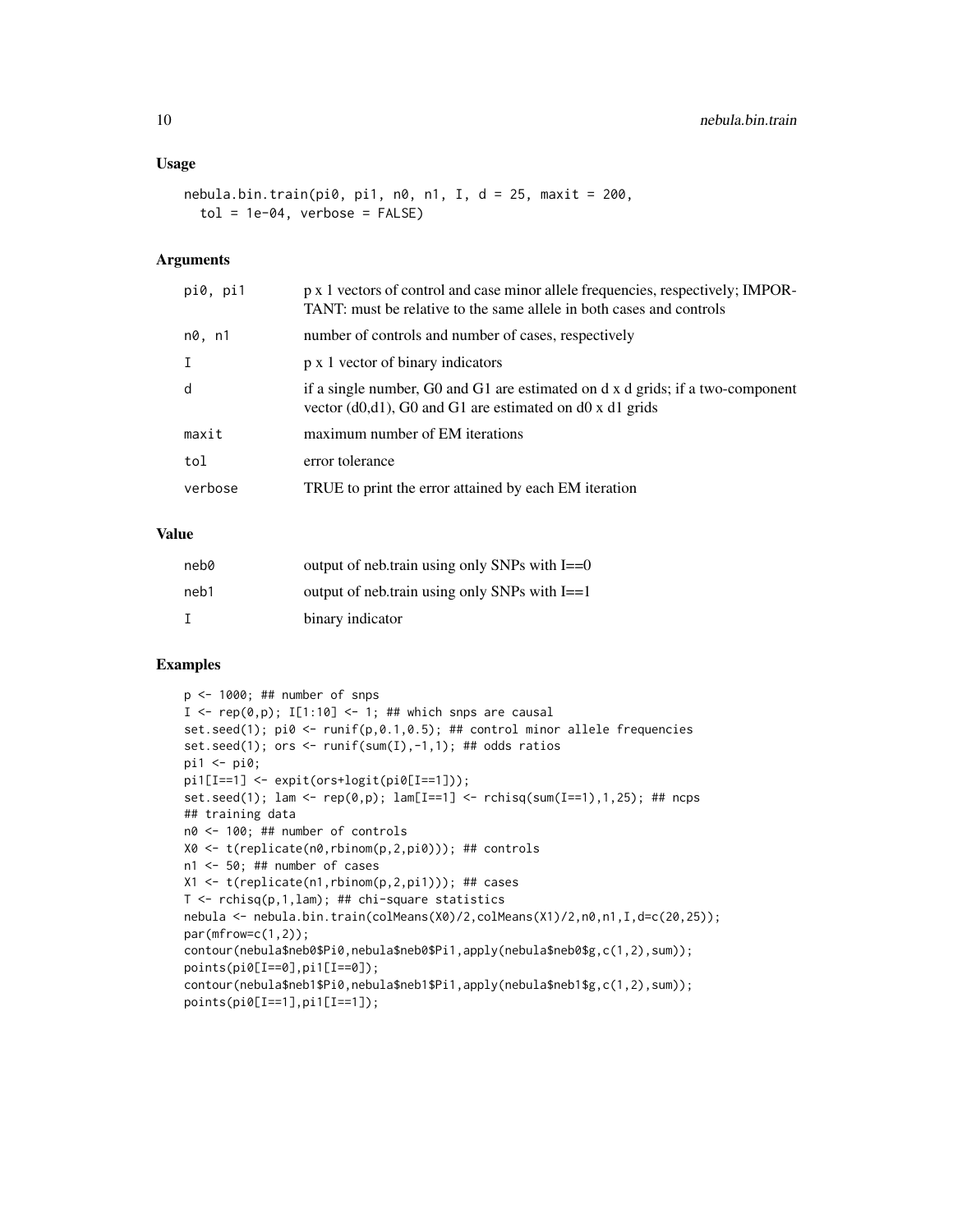#### Usage

```
nebula.bin.train(pi0, pi1, n0, n1, I, d = 25, maxit = 200,
  tol = 1e-04, verbose = FALSE)
```
#### Arguments

| pi0, pi1    | p x 1 vectors of control and case minor allele frequencies, respectively; IMPOR-<br>TANT: must be relative to the same allele in both cases and controls |
|-------------|----------------------------------------------------------------------------------------------------------------------------------------------------------|
| n0, n1      | number of controls and number of cases, respectively                                                                                                     |
| $\mathbf I$ | p x 1 vector of binary indicators                                                                                                                        |
| d           | if a single number, G0 and G1 are estimated on d x d grids; if a two-component<br>vector $(d0,d1)$ , G0 and G1 are estimated on d0 x d1 grids            |
| maxit       | maximum number of EM iterations                                                                                                                          |
| tol         | error tolerance                                                                                                                                          |
| verbose     | TRUE to print the error attained by each EM iteration                                                                                                    |
|             |                                                                                                                                                          |

#### Value

| neb0 | output of neb.train using only SNPs with $I = 0$ |
|------|--------------------------------------------------|
| neb1 | output of neb.train using only SNPs with $I = 1$ |
|      | binary indicator                                 |

#### Examples

```
p <- 1000; ## number of snps
I \leftarrow \text{rep}(\emptyset, p); I[1:10] \leftarrow 1; ## which snps are causal
set.seed(1); pi \, 8 <- runif(p, 0.1, 0.5); ## control minor allele frequencies
set.seed(1); ors \le runif(sum(I),-1,1); ## odds ratios
pi1 <- pi0;
pi1[I==1] <- expit(ors+logit(pi0[I==1]));
set.seed(1); lam <- rep(0,p); lam[I==1] <- rchisq(sum(I==1),1,25); ## ncps
## training data
n0 <- 100; ## number of controls
X0 <- t(replicate(n0,rbinom(p,2,pi0))); ## controls
n1 <- 50; ## number of cases
X1 \leftarrow t(replicate(n1,rbinom(p,2,pi1))); ## cases
T <- rchisq(p,1,lam); ## chi-square statistics
nebula <- nebula.bin.train(colMeans(X0)/2,colMeans(X1)/2,n0,n1,I,d=c(20,25));
par(mfrow=c(1,2));
contour(nebula$neb0$Pi0,nebula$neb0$Pi1,apply(nebula$neb0$g,c(1,2),sum));
points(pi0[I==0],pi1[I==0]);
contour(nebula$neb1$Pi0,nebula$neb1$Pi1,apply(nebula$neb1$g,c(1,2),sum));
points(pi0[I==1],pi1[I==1]);
```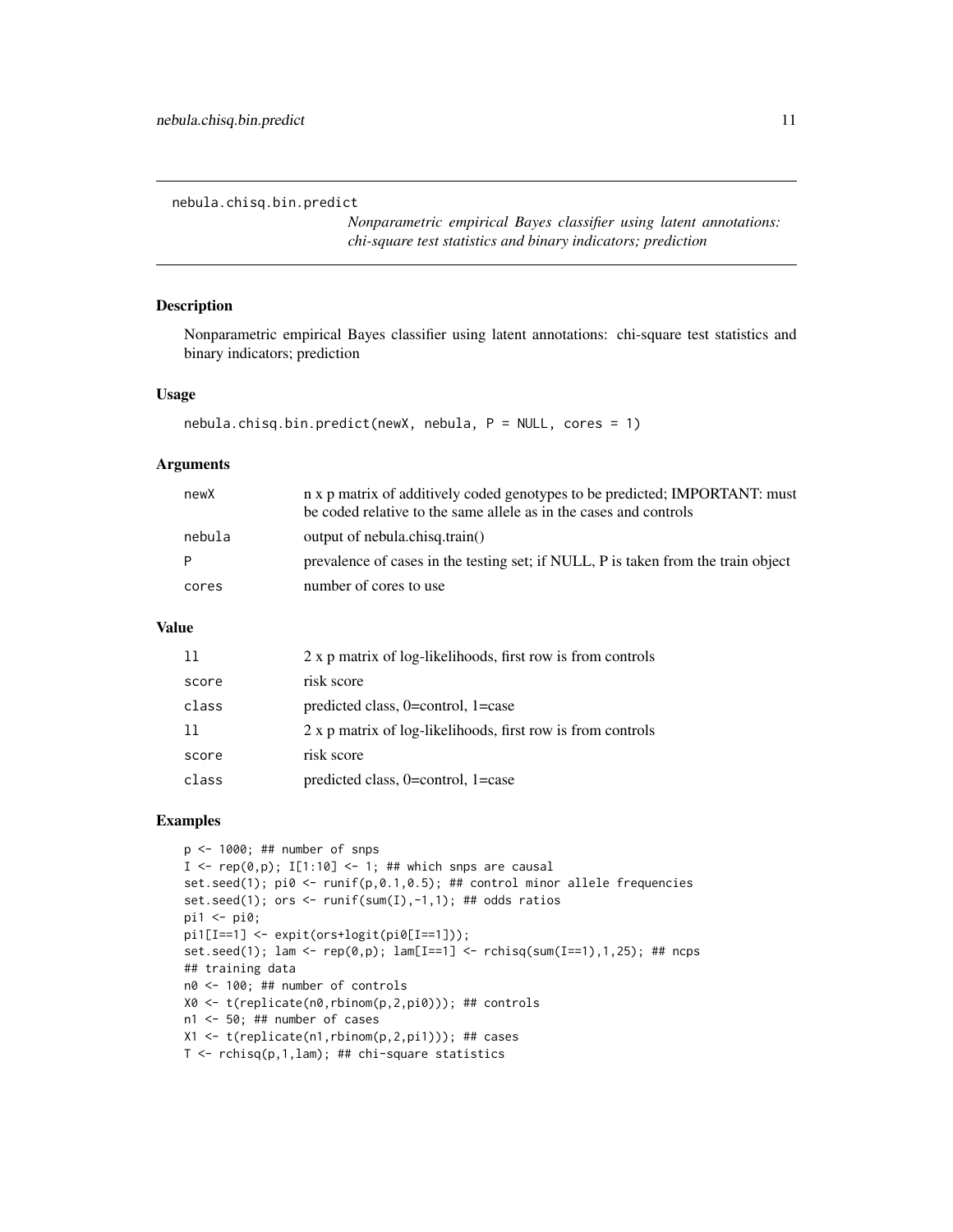<span id="page-10-0"></span>nebula.chisq.bin.predict

*Nonparametric empirical Bayes classifier using latent annotations: chi-square test statistics and binary indicators; prediction*

#### Description

Nonparametric empirical Bayes classifier using latent annotations: chi-square test statistics and binary indicators; prediction

#### Usage

```
nebula.chisq.bin.predict(newX, nebula, P = NULL, cores = 1)
```
#### Arguments

| newX   | n x p matrix of additively coded genotypes to be predicted; IMPORTANT: must<br>be coded relative to the same allele as in the cases and controls |
|--------|--------------------------------------------------------------------------------------------------------------------------------------------------|
| nebula | output of nebula.chisq.train()                                                                                                                   |
| P      | prevalence of cases in the testing set; if NULL, P is taken from the train object                                                                |
| cores  | number of cores to use                                                                                                                           |

#### Value

| 11    | 2 x p matrix of log-likelihoods, first row is from controls |
|-------|-------------------------------------------------------------|
| score | risk score                                                  |
| class | predicted class, $0=$ control, $1=$ case                    |
| -11   | 2 x p matrix of log-likelihoods, first row is from controls |
| score | risk score                                                  |
| class | predicted class, 0=control, 1=case                          |

#### Examples

```
p \le -1000; ## number of snps
I \leq rep(0,p); I[1:10] \leq 1; ## which snps are causal
set.seed(1); pi0 <- runif(p,0.1,0.5); ## control minor allele frequencies
set.seed(1); ors <- runif(sum(I),-1,1); ## odds ratios
pi1 <- pi0;
pi1[I==1] <- expit(ors+logit(pi0[I==1]));
set.seed(1); lam <- rep(\emptyset, p); lam[I==1] <- rchisq(sum(I==1), 1, 25); ## ncps
## training data
n0 <- 100; ## number of controls
X0 <- t(replicate(n0,rbinom(p,2,pi0))); ## controls
n1 <- 50; ## number of cases
X1 <- t(replicate(n1,rbinom(p,2,pi1))); ## cases
T <- rchisq(p,1,lam); ## chi-square statistics
```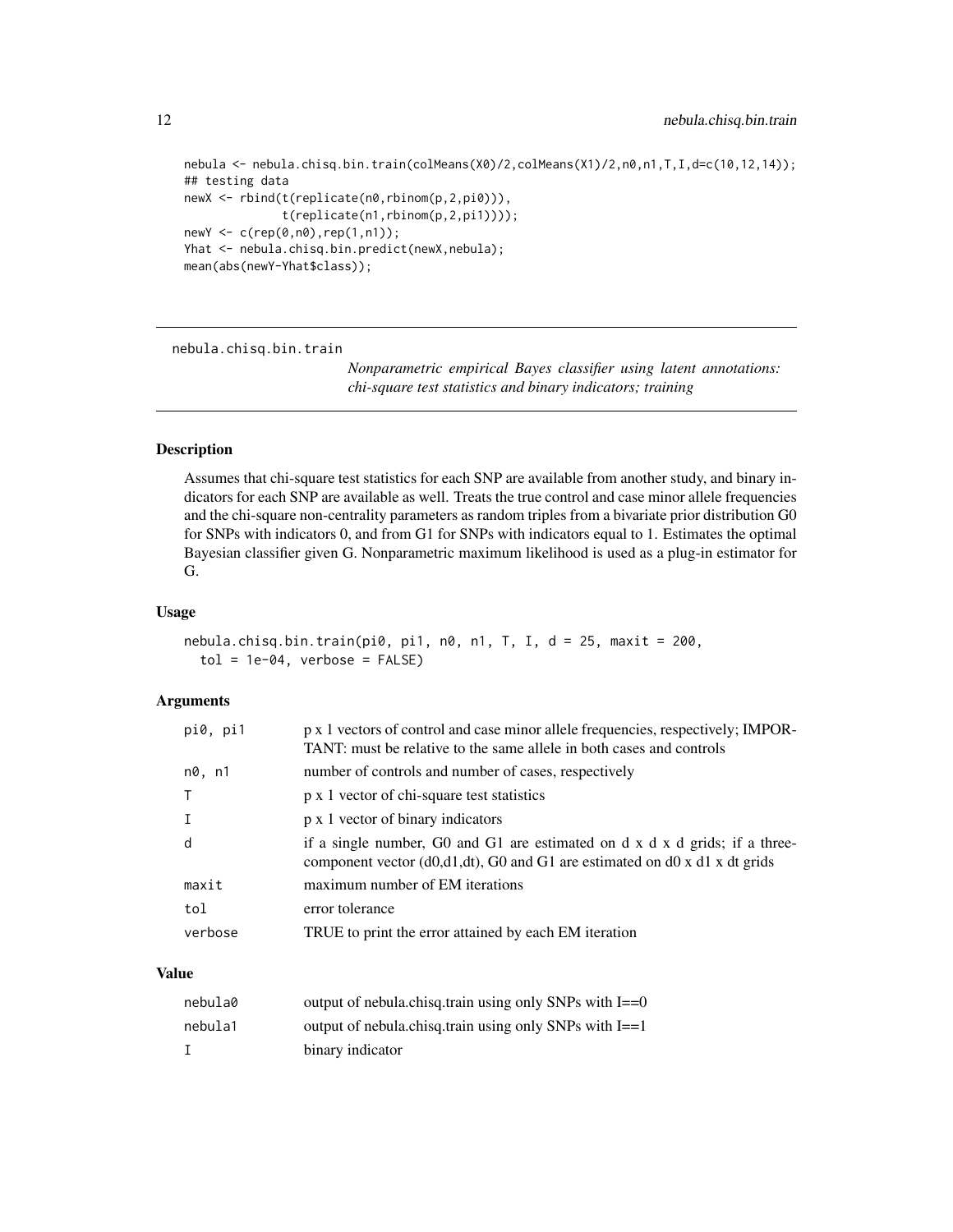```
nebula <- nebula.chisq.bin.train(colMeans(X0)/2,colMeans(X1)/2,n0,n1,T,I,d=c(10,12,14));
## testing data
newX <- rbind(t(replicate(n0,rbinom(p,2,pi0))),
              t(replicate(n1,rbinom(p,2,pi1))));
newY <- c(rep(0,n0),rep(1,n1));
Yhat <- nebula.chisq.bin.predict(newX,nebula);
mean(abs(newY-Yhat$class));
```
nebula.chisq.bin.train

*Nonparametric empirical Bayes classifier using latent annotations: chi-square test statistics and binary indicators; training*

#### Description

Assumes that chi-square test statistics for each SNP are available from another study, and binary indicators for each SNP are available as well. Treats the true control and case minor allele frequencies and the chi-square non-centrality parameters as random triples from a bivariate prior distribution G0 for SNPs with indicators 0, and from G1 for SNPs with indicators equal to 1. Estimates the optimal Bayesian classifier given G. Nonparametric maximum likelihood is used as a plug-in estimator for G.

#### Usage

```
nebula.chisq.bin.train(pi0, pi1, n0, n1, T, I, d = 25, maxit = 200,
  tol = 1e-04, verbose = FALSE)
```
#### Arguments

| pi0, pi1 | p x 1 vectors of control and case minor allele frequencies, respectively; IMPOR-<br>TANT: must be relative to the same allele in both cases and controls     |
|----------|--------------------------------------------------------------------------------------------------------------------------------------------------------------|
| n0, n1   | number of controls and number of cases, respectively                                                                                                         |
|          | p x 1 vector of chi-square test statistics                                                                                                                   |
|          | p x 1 vector of binary indicators                                                                                                                            |
| d        | if a single number, G0 and G1 are estimated on $dx$ d $x$ d grids; if a three-<br>component vector (d0,d1,dt), G0 and G1 are estimated on d0 x d1 x dt grids |
| maxit    | maximum number of EM iterations                                                                                                                              |
| tol      | error tolerance                                                                                                                                              |
| verbose  | TRUE to print the error attained by each EM iteration                                                                                                        |

| nebula0 | output of nebula.chisq.train using only SNPs with $I = 0$ |
|---------|-----------------------------------------------------------|
| nebula1 | output of nebula.chisq.train using only SNPs with $I = 1$ |
|         | binary indicator                                          |

<span id="page-11-0"></span>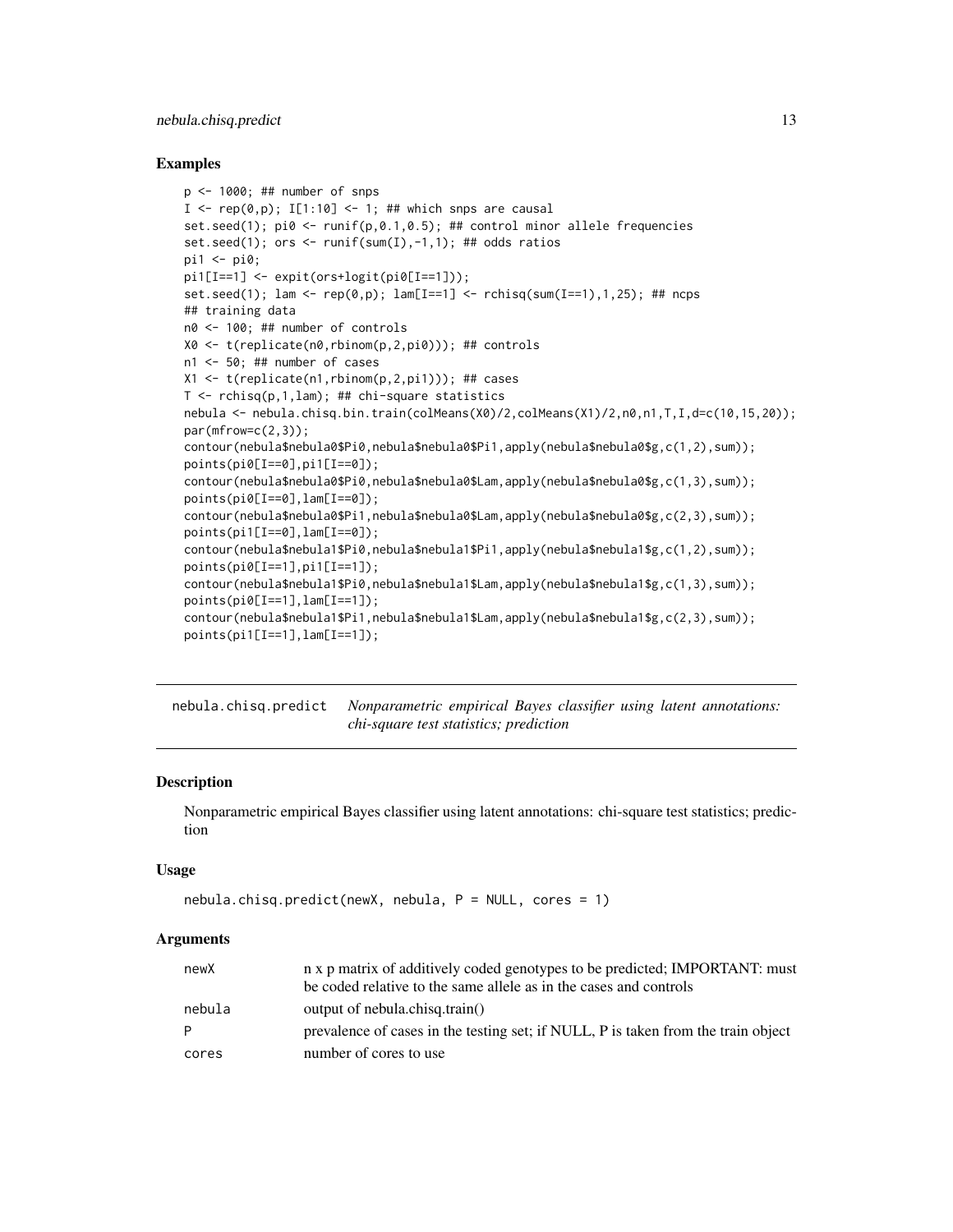#### <span id="page-12-0"></span>nebula.chisq.predict 13

#### Examples

```
p \le -1000; ## number of snps
I \leq -\text{rep}(\emptyset, p); I[1:10] \leq -1; ## which snps are causal
set.seed(1); pi0 <- runif(p,0.1,0.5); ## control minor allele frequencies
set.seed(1); ors \le runif(sum(I),-1,1); ## odds ratios
pi1 <- pi0;
pi1[I==1] <- expit(ors+logit(pi0[I==1]));
set.seed(1); lam <- rep(\emptyset, p); lam[I==1] <- rchisq(sum(I==1), 1, 25); ## ncps## training data
n0 <- 100; ## number of controls
X0 <- t(replicate(n0,rbinom(p,2,pi0))); ## controls
n1 <- 50; ## number of cases
X1 <- t(replicate(n1,rbinom(p,2,pi1))); ## cases
T \leftarrow rchisq(p,1,lam); ## chi-square statistics
nebula <- nebula.chisq.bin.train(colMeans(X0)/2,colMeans(X1)/2,n0,n1,T,I,d=c(10,15,20));
par(mfrow=c(2,3));
contour(nebula$nebula0$Pi0,nebula$nebula0$Pi1,apply(nebula$nebula0$g,c(1,2),sum));
points(pi0[I==0],pi1[I==0]);
contour(nebula$nebula0$Pi0,nebula$nebula0$Lam,apply(nebula$nebula0$g,c(1,3),sum));
points(pi0[I==0],lam[I==0]);
contour(nebula$nebula0$Pi1,nebula$nebula0$Lam,apply(nebula$nebula0$g,c(2,3),sum));
points(pi1[I==0],lam[I==0]);contour(nebula$nebula1$Pi0,nebula$nebula1$Pi1,apply(nebula$nebula1$g,c(1,2),sum));
points(pi0[I==1],pi1[I==1]);
contour(nebula$nebula1$Pi0,nebula$nebula1$Lam,apply(nebula$nebula1$g,c(1,3),sum));
points(pi0[I==1],lam[I==1]);
contour(nebula$nebula1$Pi1,nebula$nebula1$Lam,apply(nebula$nebula1$g,c(2,3),sum));
points(pi1[I==1],lam[I==1]);
```
nebula.chisq.predict *Nonparametric empirical Bayes classifier using latent annotations: chi-square test statistics; prediction*

#### **Description**

Nonparametric empirical Bayes classifier using latent annotations: chi-square test statistics; prediction

#### Usage

```
nebula.chisq.predict(newX, nebula, P = NULL, cores = 1)
```
#### Arguments

| newX   | n x p matrix of additively coded genotypes to be predicted; IMPORTANT: must<br>be coded relative to the same allele as in the cases and controls |
|--------|--------------------------------------------------------------------------------------------------------------------------------------------------|
| nebula | output of nebula.chisq.train()                                                                                                                   |
| P      | prevalence of cases in the testing set; if NULL, P is taken from the train object                                                                |
| cores  | number of cores to use                                                                                                                           |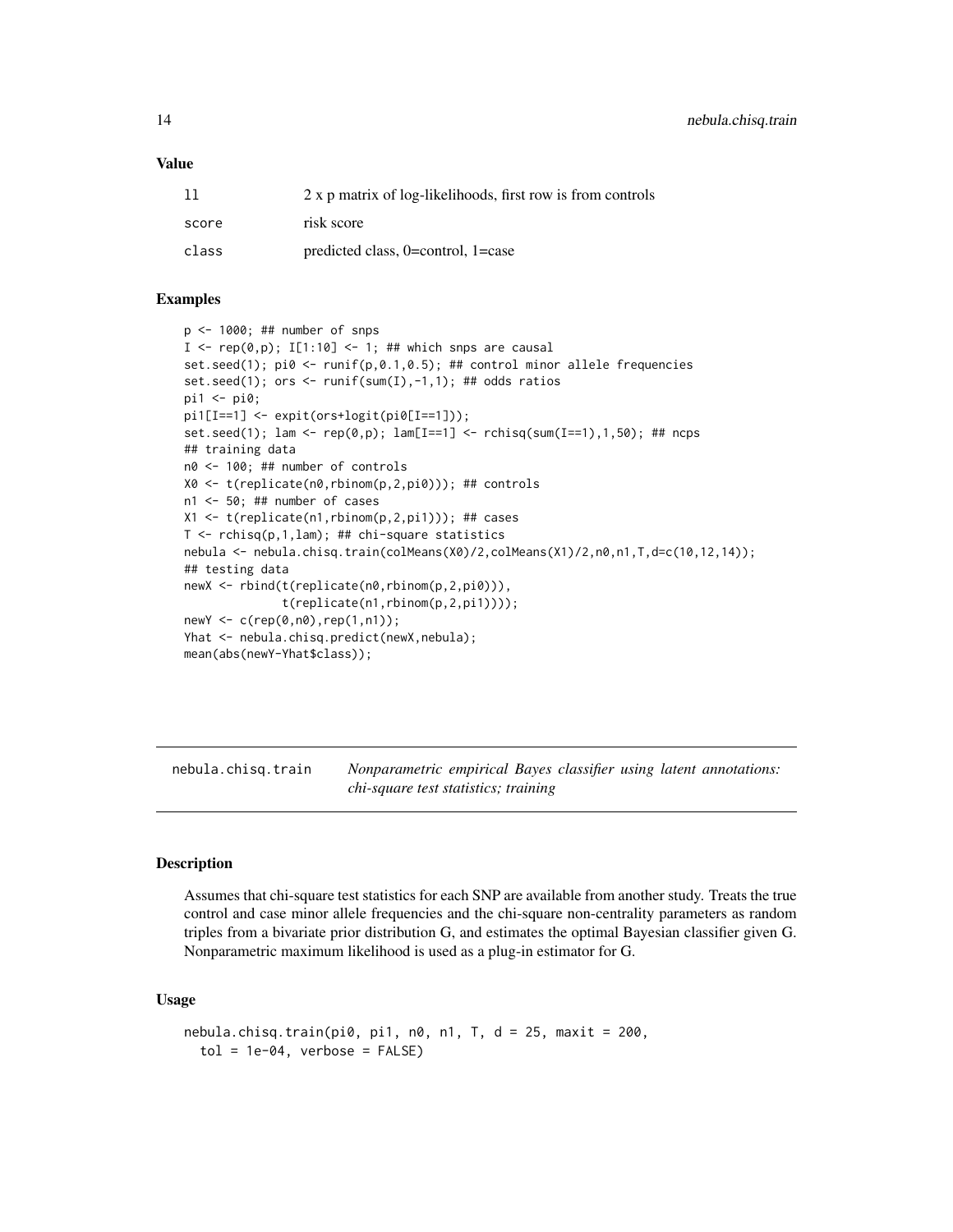#### <span id="page-13-0"></span>Value

| 11    | 2 x p matrix of log-likelihoods, first row is from controls |
|-------|-------------------------------------------------------------|
| score | risk score                                                  |
| class | predicted class, $0=$ control, $1=$ case                    |

#### Examples

```
p <- 1000; ## number of snps
I \leq rep(0,p); I[1:10] \leq 1; ## which snps are causal
set.seed(1); pi0 <- runif(p, 0.1, 0.5); ## control minor allele frequencies
set.seed(1); ors <- runif(sum(I),-1,1); ## odds ratios
pi1 <- pi0;
pi1[I==1] <- expit(ors+logit(pi0[I==1]));
set.seed(1); lam <- rep(\emptyset, p); lam[I==1] <- rchisq(sum(I==1), 1, 50); ## ncps
## training data
n0 <- 100; ## number of controls
X0 <- t(replicate(n0,rbinom(p,2,pi0))); ## controls
n1 <- 50; ## number of cases
X1 <- t(replicate(n1,rbinom(p,2,pi1))); ## cases
T <- rchisq(p,1,lam); ## chi-square statistics
nebula <- nebula.chisq.train(colMeans(X0)/2,colMeans(X1)/2,n0,n1,T,d=c(10,12,14));
## testing data
newX <- rbind(t(replicate(n0,rbinom(p,2,pi0))),
              t(replicate(n1,rbinom(p,2,pi1))));
newY <- c(rep(0,n0),rep(1,n1));
Yhat <- nebula.chisq.predict(newX,nebula);
mean(abs(newY-Yhat$class));
```
nebula.chisq.train *Nonparametric empirical Bayes classifier using latent annotations: chi-square test statistics; training*

#### Description

Assumes that chi-square test statistics for each SNP are available from another study. Treats the true control and case minor allele frequencies and the chi-square non-centrality parameters as random triples from a bivariate prior distribution G, and estimates the optimal Bayesian classifier given G. Nonparametric maximum likelihood is used as a plug-in estimator for G.

#### Usage

```
nebula.chisq.train(pi0, pi1, n0, n1, T, d = 25, maxit = 200,tol = 1e-04, verbose = FALSE)
```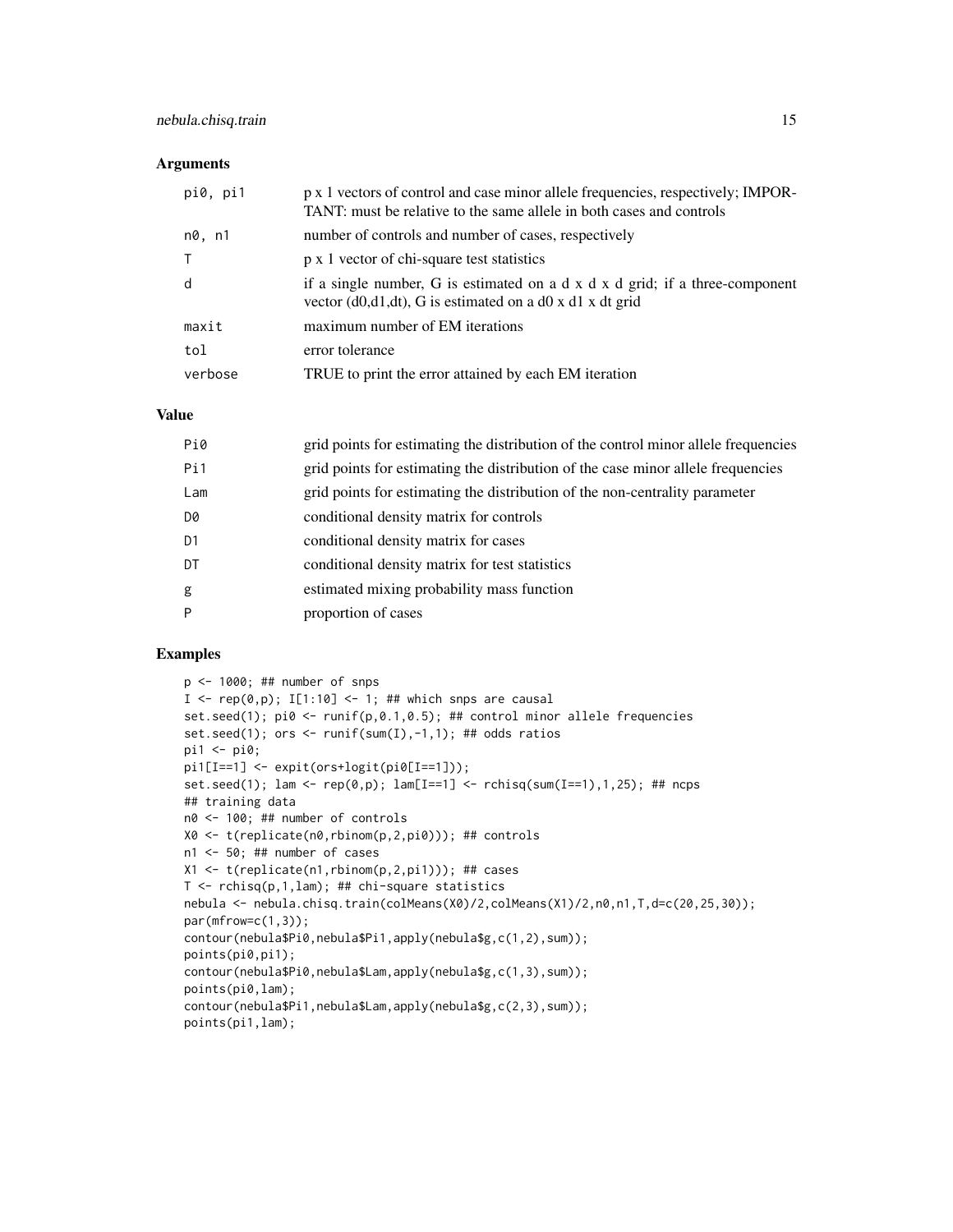#### Arguments

| pi0, pi1 | p x 1 vectors of control and case minor allele frequencies, respectively; IMPOR-<br>TANT: must be relative to the same allele in both cases and controls  |
|----------|-----------------------------------------------------------------------------------------------------------------------------------------------------------|
| n0, n1   | number of controls and number of cases, respectively                                                                                                      |
| $\top$   | p x 1 vector of chi-square test statistics                                                                                                                |
| d        | if a single number, G is estimated on a $d \times d \times d$ grid; if a three-component<br>vector $(d0, d1, dt)$ , G is estimated on a d0 x d1 x dt grid |
| maxit    | maximum number of EM iterations                                                                                                                           |
| tol      | error tolerance                                                                                                                                           |
| verbose  | TRUE to print the error attained by each EM iteration                                                                                                     |

#### Value

| Pi0            | grid points for estimating the distribution of the control minor allele frequencies |
|----------------|-------------------------------------------------------------------------------------|
| Pi1            | grid points for estimating the distribution of the case minor allele frequencies    |
| Lam            | grid points for estimating the distribution of the non-centrality parameter         |
| D0             | conditional density matrix for controls                                             |
| D <sub>1</sub> | conditional density matrix for cases                                                |
| DT             | conditional density matrix for test statistics                                      |
| g              | estimated mixing probability mass function                                          |
| P              | proportion of cases                                                                 |
|                |                                                                                     |

#### Examples

```
p <- 1000; ## number of snps
I <- rep(0,p); I[1:10] <- 1; ## which snps are causal
set.seed(1); pi0 <- runif(p,0.1,0.5); ## control minor allele frequencies
set.seed(1); ors <- runif(sum(I),-1,1); ## odds ratios
pi1 <- pi0;
pi1[I==1] <- expit(ors+logit(pi0[I==1]));
set.seed(1); lam <- rep(0,p); lam[I==1] <- rchisq(sum(I==1),1,25); ## ncps
## training data
n0 <- 100; ## number of controls
X0 <- t(replicate(n0,rbinom(p,2,pi0))); ## controls
n1 <- 50; ## number of cases
X1 <- t(replicate(n1,rbinom(p,2,pi1))); ## cases
T \leq rchisq(p,1,lam); ## chi-square statistics
nebula <- nebula.chisq.train(colMeans(X0)/2,colMeans(X1)/2,n0,n1,T,d=c(20,25,30));
par(mfrow=c(1,3));
contour(nebula$Pi0,nebula$Pi1,apply(nebula$g,c(1,2),sum));
points(pi0,pi1);
contour(nebula$Pi0,nebula$Lam,apply(nebula$g,c(1,3),sum));
points(pi0,lam);
contour(nebula$Pi1,nebula$Lam,apply(nebula$g,c(2,3),sum));
points(pi1,lam);
```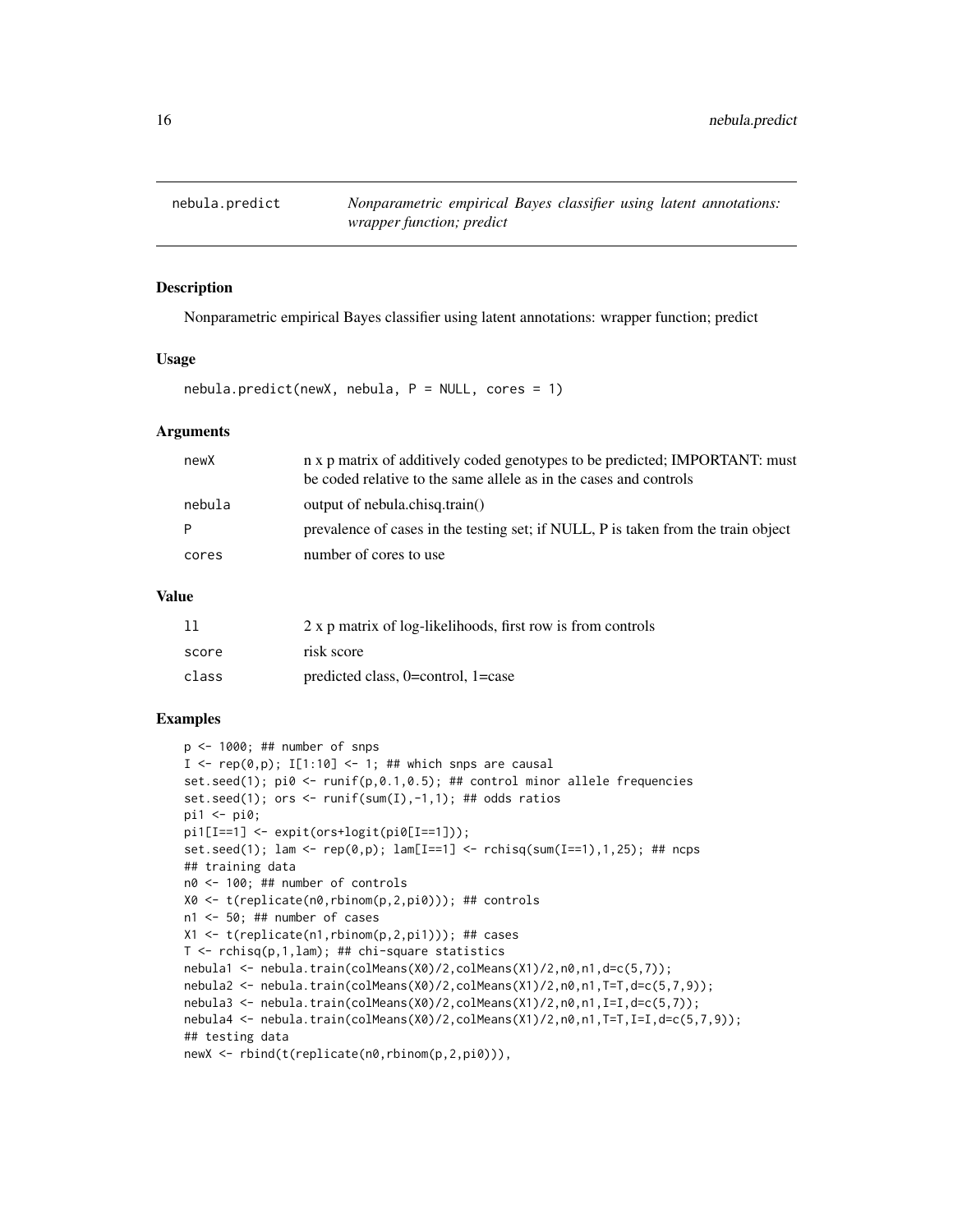<span id="page-15-0"></span>

#### Description

Nonparametric empirical Bayes classifier using latent annotations: wrapper function; predict

#### Usage

 $nebula.predict(newX, nebula, P = NULL, cores = 1)$ 

#### Arguments

| newX   | n x p matrix of additively coded genotypes to be predicted; IMPORTANT: must<br>be coded relative to the same allele as in the cases and controls |
|--------|--------------------------------------------------------------------------------------------------------------------------------------------------|
| nebula | output of nebula.chisq.train()                                                                                                                   |
| P      | prevalence of cases in the testing set; if NULL, P is taken from the train object                                                                |
| cores  | number of cores to use                                                                                                                           |
|        |                                                                                                                                                  |

#### Value

| 11    | 2 x p matrix of log-likelihoods, first row is from controls |
|-------|-------------------------------------------------------------|
| score | risk score                                                  |
| class | predicted class, $0=$ control, $1=$ case                    |

#### Examples

```
p \le -1000; ## number of snps
I <- rep(\emptyset, p); I[1:10] <- 1; ## which snps are causal
set.seed(1); pi \, 0 \le -r \, \text{unif}(p, 0.1, 0.5); ## control minor allele frequencies
set.seed(1); ors <- runif(sum(I),-1,1); ## odds ratios
pi1 <- pi0;
pi1[I==1] <- expit(ors+logit(pi0[I==1]));
set.seed(1); lam <- rep(\emptyset, p); lam[I==1] <- rchisq(sum(I==1), 1, 25); ## ncps
## training data
n0 <- 100; ## number of controls
X0 <- t(replicate(n0,rbinom(p,2,pi0))); ## controls
n1 <- 50; ## number of cases
X1 <- t(replicate(n1,rbinom(p,2,pi1))); ## cases
T \le rchisq(p,1,lam); ## chi-square statistics
nebula1 <- nebula.train(colMeans(X0)/2,colMeans(X1)/2,n0,n1,d=c(5,7));
nebula2 <- nebula.train(colMeans(X0)/2,colMeans(X1)/2,n0,n1,T=T,d=c(5,7,9));
nebula3 <- nebula.train(colMeans(X0)/2,colMeans(X1)/2,n0,n1,I=I,d=c(5,7));
nebula4 <- nebula.train(colMeans(X0)/2,colMeans(X1)/2,n0,n1,T=T,I=I,d=c(5,7,9));
## testing data
newX <- rbind(t(replicate(n0,rbinom(p,2,pi0))),
```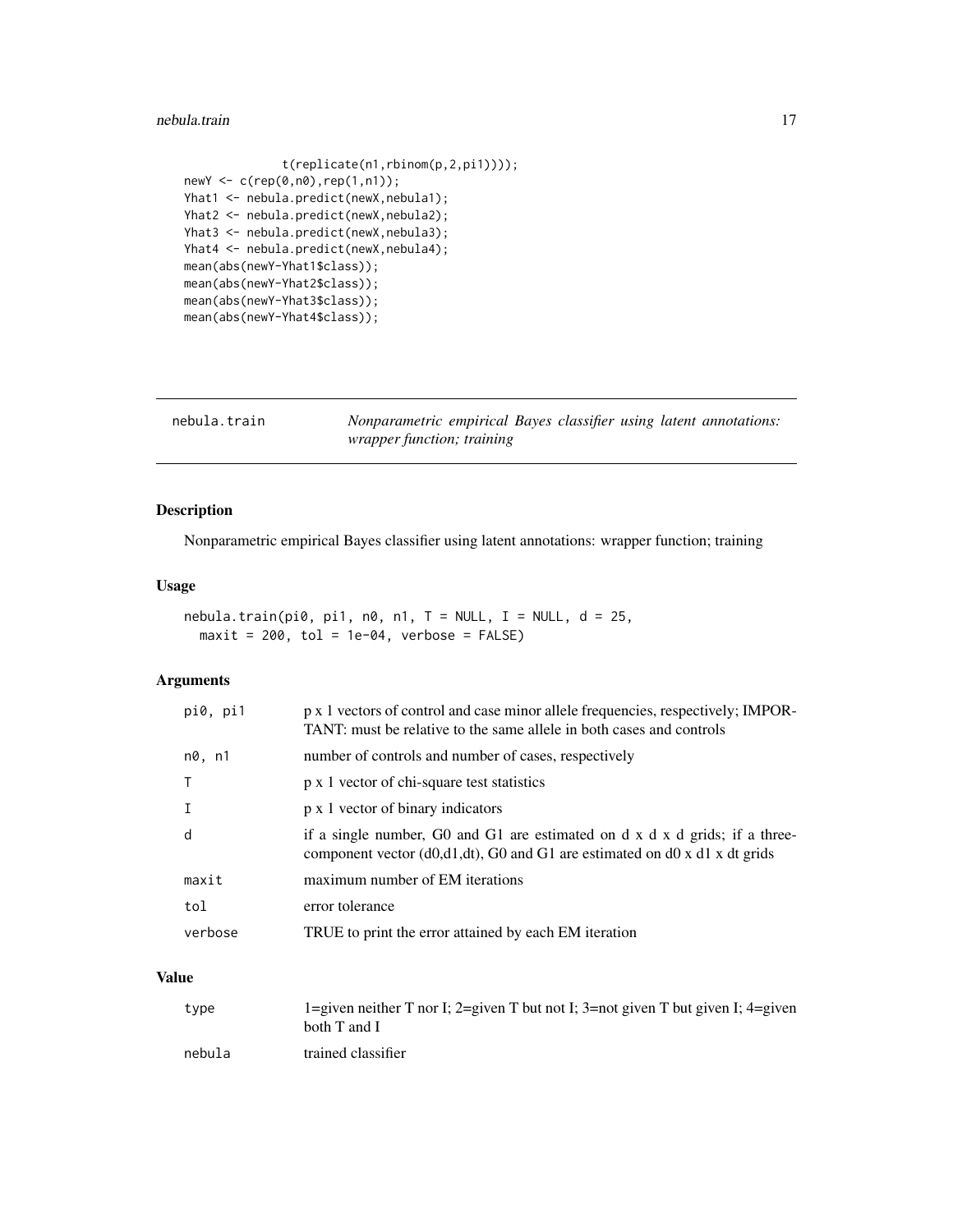#### <span id="page-16-0"></span>nebula.train 17

```
t(replicate(n1,rbinom(p,2,pi1))));
newY <- c(rep(0,n0),rep(1,n1));
Yhat1 <- nebula.predict(newX,nebula1);
Yhat2 <- nebula.predict(newX,nebula2);
Yhat3 <- nebula.predict(newX,nebula3);
Yhat4 <- nebula.predict(newX,nebula4);
mean(abs(newY-Yhat1$class));
mean(abs(newY-Yhat2$class));
mean(abs(newY-Yhat3$class));
mean(abs(newY-Yhat4$class));
```

| nebula.train | Nonparametric empirical Bayes classifier using latent annotations: |  |  |  |
|--------------|--------------------------------------------------------------------|--|--|--|
|              | <i>wrapper function; training</i>                                  |  |  |  |

#### Description

Nonparametric empirical Bayes classifier using latent annotations: wrapper function; training

#### Usage

nebula.train(pi0, pi1, n0, n1,  $T = NULL$ ,  $I = NULL$ ,  $d = 25$ ,  $maxit = 200$ ,  $tol = 1e-04$ , verbose =  $FALSE)$ 

#### Arguments

| number of controls and number of cases, respectively<br>n0, n1                                                                                                 |  |
|----------------------------------------------------------------------------------------------------------------------------------------------------------------|--|
| p x 1 vector of chi-square test statistics                                                                                                                     |  |
| p x 1 vector of binary indicators                                                                                                                              |  |
| if a single number, G0 and G1 are estimated on d x d x d grids; if a three-<br>d<br>component vector (d0,d1,dt), G0 and G1 are estimated on d0 x d1 x dt grids |  |
| maximum number of EM iterations<br>maxit                                                                                                                       |  |
|                                                                                                                                                                |  |
| error tolerance<br>tol                                                                                                                                         |  |

| type   | 1=given neither T nor I; 2=given T but not I; 3=not given T but given I; 4=given<br>both T and I |
|--------|--------------------------------------------------------------------------------------------------|
| nebula | trained classifier                                                                               |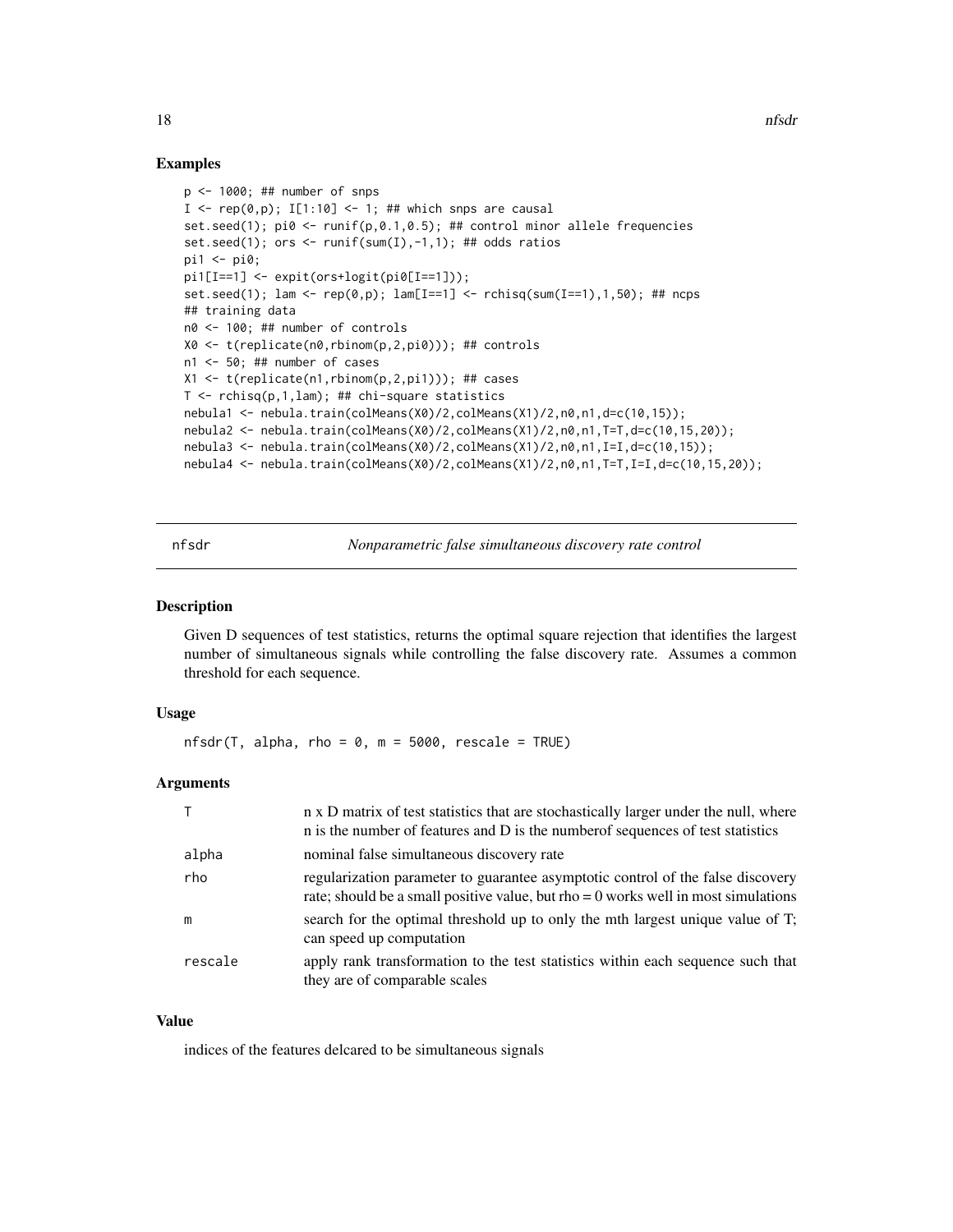#### Examples

```
p \le -1000; ## number of snps
I \leq -\text{rep}(\emptyset, p); I[1:10] \leq -1; ## which snps are causal
set.seed(1); pi0 <- runif(p,0.1,0.5); ## control minor allele frequencies
set.seed(1); ors <- runif(sum(I),-1,1); ## odds ratios
pi1 <- pi0;
pi1[I==1] <- expit(ors+logit(pi0[I==1]));
set.seed(1); lam <- rep(\emptyset, p); lam[I==1] <- rchisq(sum(I==1), 1, 50); ## ncps
## training data
n0 <- 100; ## number of controls
X0 <- t(replicate(n0,rbinom(p,2,pi0))); ## controls
n1 <- 50; ## number of cases
X1 <- t(replicate(n1,rbinom(p,2,pi1))); ## cases
T \leq rchisq(p,1,lam); ## chi-square statistics
nebula1 <- nebula.train(colMeans(X0)/2,colMeans(X1)/2,n0,n1,d=c(10,15));
nebula2 <- nebula.train(colMeans(X0)/2,colMeans(X1)/2,n0,n1,T=T,d=c(10,15,20));
nebula3 <- nebula.train(colMeans(X0)/2,colMeans(X1)/2,n0,n1,I=I,d=c(10,15));
nebula4 <- nebula.train(colMeans(X0)/2,colMeans(X1)/2,n0,n1,T=T,I=I,d=c(10,15,20));
```
nfsdr *Nonparametric false simultaneous discovery rate control*

#### **Description**

Given D sequences of test statistics, returns the optimal square rejection that identifies the largest number of simultaneous signals while controlling the false discovery rate. Assumes a common threshold for each sequence.

#### Usage

 $nfsdr(T, alpha, rho = 0, m = 5000, rescale = TRUE)$ 

#### Arguments

|         | n x D matrix of test statistics that are stochastically larger under the null, where<br>n is the number of features and D is the number of sequences of test statistics |
|---------|-------------------------------------------------------------------------------------------------------------------------------------------------------------------------|
| alpha   | nominal false simultaneous discovery rate                                                                                                                               |
| rho     | regularization parameter to guarantee asymptotic control of the false discovery<br>rate; should be a small positive value, but rho = $0$ works well in most simulations |
| m       | search for the optimal threshold up to only the mth largest unique value of T;<br>can speed up computation                                                              |
| rescale | apply rank transformation to the test statistics within each sequence such that<br>they are of comparable scales                                                        |

#### Value

indices of the features delcared to be simultaneous signals

<span id="page-17-0"></span>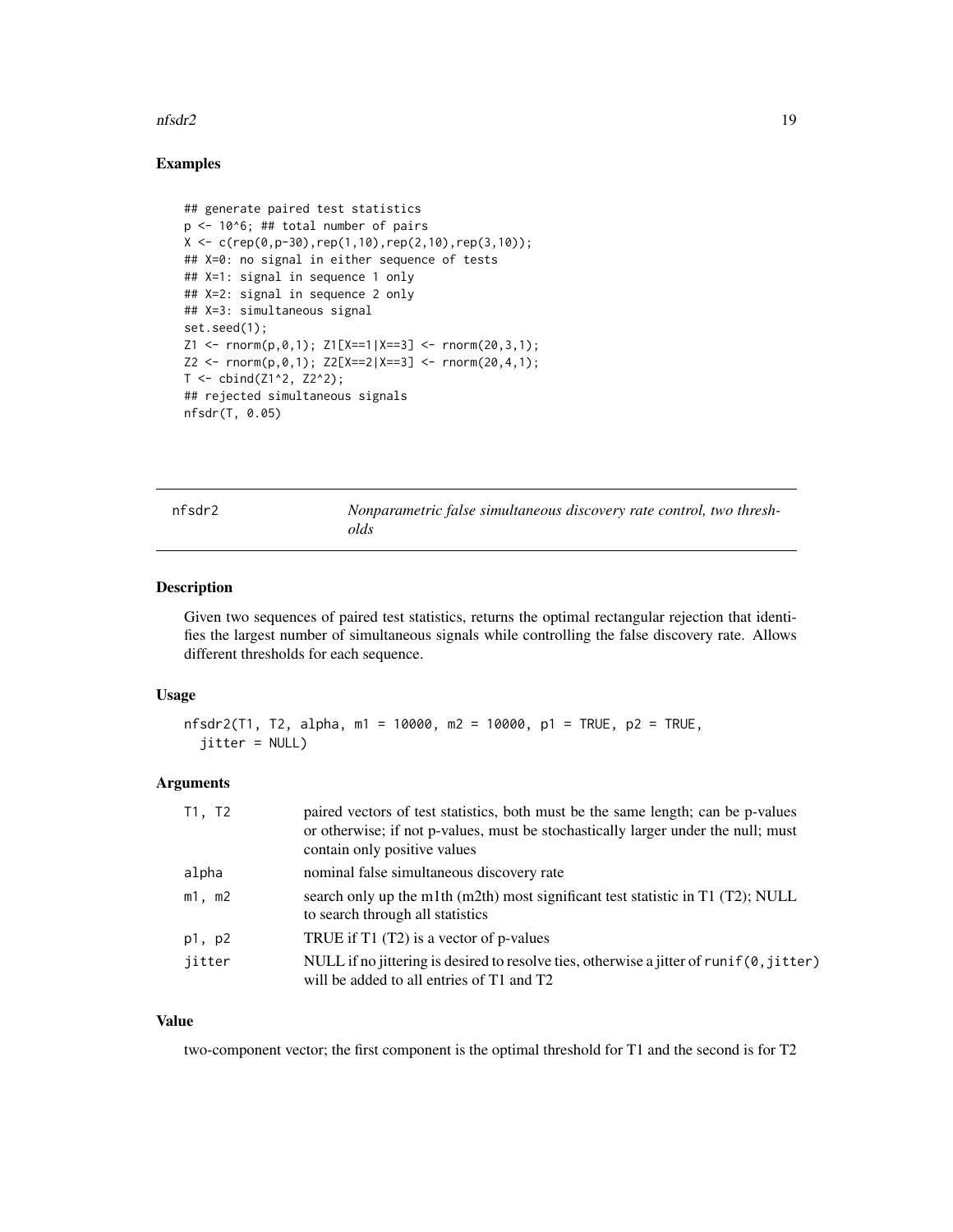#### <span id="page-18-0"></span>nfsdr2 19

#### Examples

```
## generate paired test statistics
p \le -10^6; ## total number of pairs
X \leftarrow c(rep(\emptyset, p-3\emptyset), rep(1,1\emptyset),rep(2,1\emptyset),rep(3,1\emptyset));## X=0: no signal in either sequence of tests
## X=1: signal in sequence 1 only
## X=2: signal in sequence 2 only
## X=3: simultaneous signal
set.seed(1);
Z1 \leq r \text{norm}(p, \emptyset, 1); Z1[X == 1 | X == 3] \leq r \text{norm}(2\emptyset, 3, 1);Z2 <- rnorm(p,0,1); Z2[X==2|X==3] <- rnorm(20,4,1);
T <- cbind(Z1^2, Z2^2);
## rejected simultaneous signals
nfsdr(T, 0.05)
```
nfsdr2 *Nonparametric false simultaneous discovery rate control, two thresholds*

#### Description

Given two sequences of paired test statistics, returns the optimal rectangular rejection that identifies the largest number of simultaneous signals while controlling the false discovery rate. Allows different thresholds for each sequence.

#### Usage

```
nfsdr2(T1, T2, alpha, m1 = 10000, m2 = 10000, p1 = TRUE, p2 = TRUE,
  jitter = NULL)
```
#### Arguments

| T1, T2      | paired vectors of test statistics, both must be the same length; can be p-valued<br>or otherwise; if not p-values, must be stochastically larger under the null; must<br>contain only positive values |
|-------------|-------------------------------------------------------------------------------------------------------------------------------------------------------------------------------------------------------|
| alpha       | nominal false simultaneous discovery rate                                                                                                                                                             |
| $m1$ , $m2$ | search only up the m1th (m2th) most significant test statistic in T1 (T2); NULL<br>to search through all statistics                                                                                   |
| p1, p2      | TRUE if $T1(T2)$ is a vector of p-values                                                                                                                                                              |
| jitter      | NULL if no jittering is desired to resolve ties, otherwise a jitter of runif $(0,$ jitter)<br>will be added to all entries of T1 and T2                                                               |

#### Value

two-component vector; the first component is the optimal threshold for T1 and the second is for T2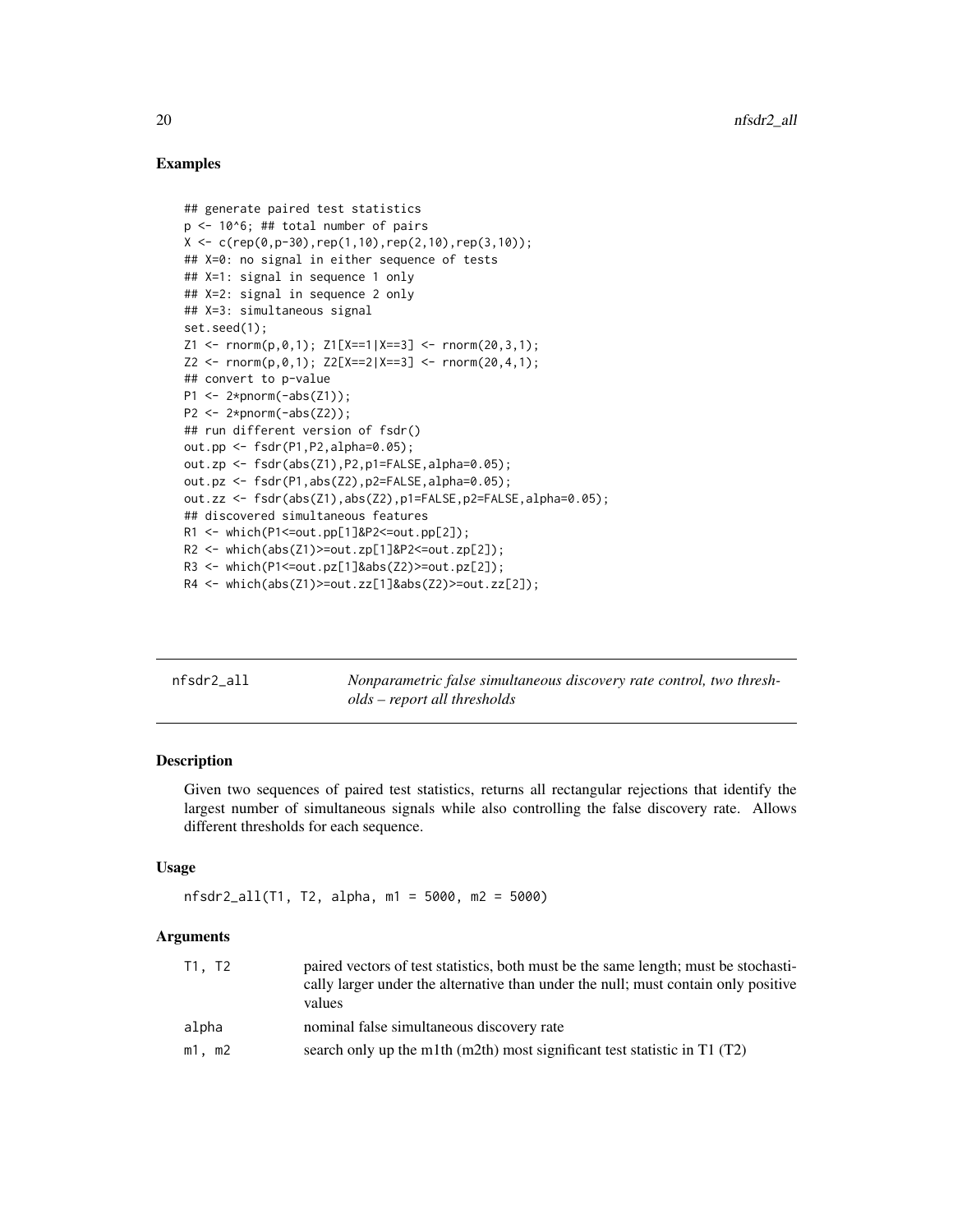#### Examples

```
## generate paired test statistics
p \le -10^6; ## total number of pairs
X \leftarrow c(\text{rep}(0, p-30), \text{rep}(1, 10), \text{rep}(2, 10), \text{rep}(3, 10));## X=0: no signal in either sequence of tests
## X=1: signal in sequence 1 only
## X=2: signal in sequence 2 only
## X=3: simultaneous signal
set.seed(1);
Z1 \leq r \text{norm}(p, \emptyset, 1); Z1[X == 1 | X == 3] \leq r \text{norm}(2\emptyset, 3, 1);Z2 \leq -\text{rnorm}(p, \emptyset, 1); \ Z2[X == 2|X == 3] \leq -\text{rnorm}(2\emptyset, 4, 1);## convert to p-value
P1 \leftarrow 2*pnorm(-abs(Z1));
P2 \leftarrow 2*pnorm(-abs(Z2));## run different version of fsdr()
out.pp <- fsdr(P1,P2,alpha=0.05);
out.zp <- fsdr(abs(Z1),P2,p1=FALSE,alpha=0.05);
out.pz <- fsdr(P1,abs(Z2),p2=FALSE,alpha=0.05);
out.zz <- fsdr(abs(Z1),abs(Z2),p1=FALSE,p2=FALSE,alpha=0.05);
## discovered simultaneous features
R1 <- which(P1<=out.pp[1]&P2<=out.pp[2]);
R2 \le - which(abs(Z1)>=out.zp[1]&P2\le=out.zp[2]);
R3 <- which(P1<=out.pz[1]&abs(Z2)>=out.pz[2]);
R4 <- which(abs(Z1)>=out.zz[1]&abs(Z2)>=out.zz[2]);
```

| nfsdr2 all | Nonparametric false simultaneous discovery rate control, two thresh- |
|------------|----------------------------------------------------------------------|
|            | olds – report all thresholds                                         |

#### Description

Given two sequences of paired test statistics, returns all rectangular rejections that identify the largest number of simultaneous signals while also controlling the false discovery rate. Allows different thresholds for each sequence.

#### Usage

```
nfsdr2_all(T1, T2, alpha, m1 = 5000, m2 = 5000)
```
#### Arguments

| T1, T2      | paired vectors of test statistics, both must be the same length; must be stochasti-<br>cally larger under the alternative than under the null; must contain only positive<br>values |
|-------------|-------------------------------------------------------------------------------------------------------------------------------------------------------------------------------------|
| alpha       | nominal false simultaneous discovery rate                                                                                                                                           |
| $m1$ , $m2$ | search only up the m1th (m2th) most significant test statistic in $T1(T2)$                                                                                                          |

<span id="page-19-0"></span>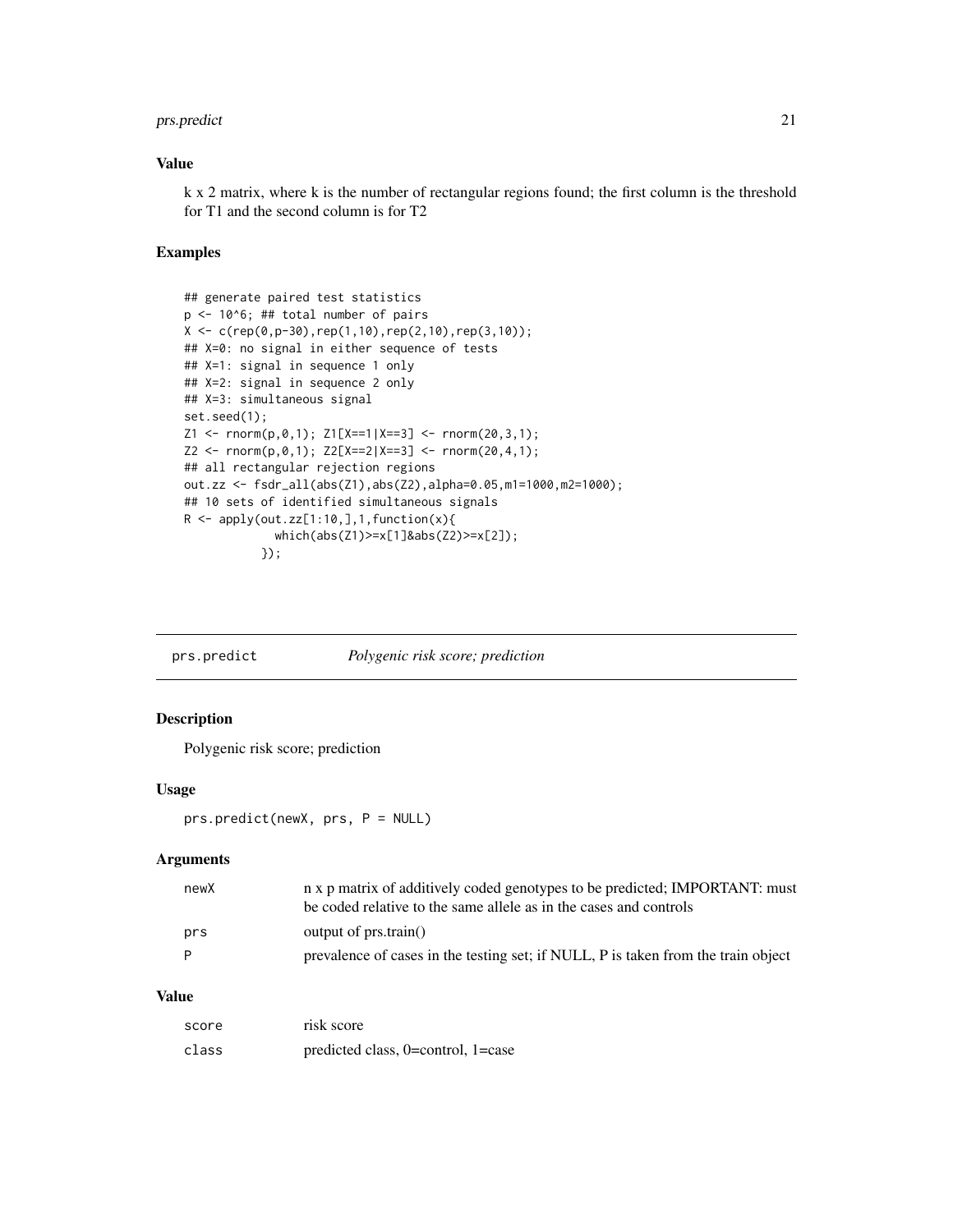#### <span id="page-20-0"></span>prs.predict 21

#### Value

k x 2 matrix, where k is the number of rectangular regions found; the first column is the threshold for T1 and the second column is for T2

#### Examples

```
## generate paired test statistics
p <- 10^6; ## total number of pairs
X \leftarrow c(rep(\theta, p-3\theta), rep(1,1\theta), rep(2,1\theta),rep(3,1\theta));## X=0: no signal in either sequence of tests
## X=1: signal in sequence 1 only
## X=2: signal in sequence 2 only
## X=3: simultaneous signal
set.seed(1);
Z1 \leq r \text{norm}(p, \emptyset, 1); Z1[X == 1 | X == 3] \leq r \text{norm}(2\emptyset, 3, 1);Z2 \leq -\text{rnorm}(p, \emptyset, 1); \ Z2[X == 2|X == 3] \leq -\text{rnorm}(2\emptyset, 4, 1);## all rectangular rejection regions
out.zz <- fsdr_all(abs(Z1),abs(Z2),alpha=0.05,m1=1000,m2=1000);
## 10 sets of identified simultaneous signals
R \leq - apply(out.zz[1:10,],1,function(x){
               which(abs(Z1)>=x[1]&abs(Z2)>=x[2]);
             });
```
prs.predict *Polygenic risk score; prediction*

### Description

Polygenic risk score; prediction

#### Usage

prs.predict(newX, prs, P = NULL)

#### Arguments

| newX | n x p matrix of additively coded genotypes to be predicted; IMPORTANT: must<br>be coded relative to the same allele as in the cases and controls |
|------|--------------------------------------------------------------------------------------------------------------------------------------------------|
| prs  | output of $prs.train()$                                                                                                                          |
| - P  | prevalence of cases in the testing set; if NULL, P is taken from the train object                                                                |

| score | risk score                               |
|-------|------------------------------------------|
| class | predicted class, $0$ =control, $1$ =case |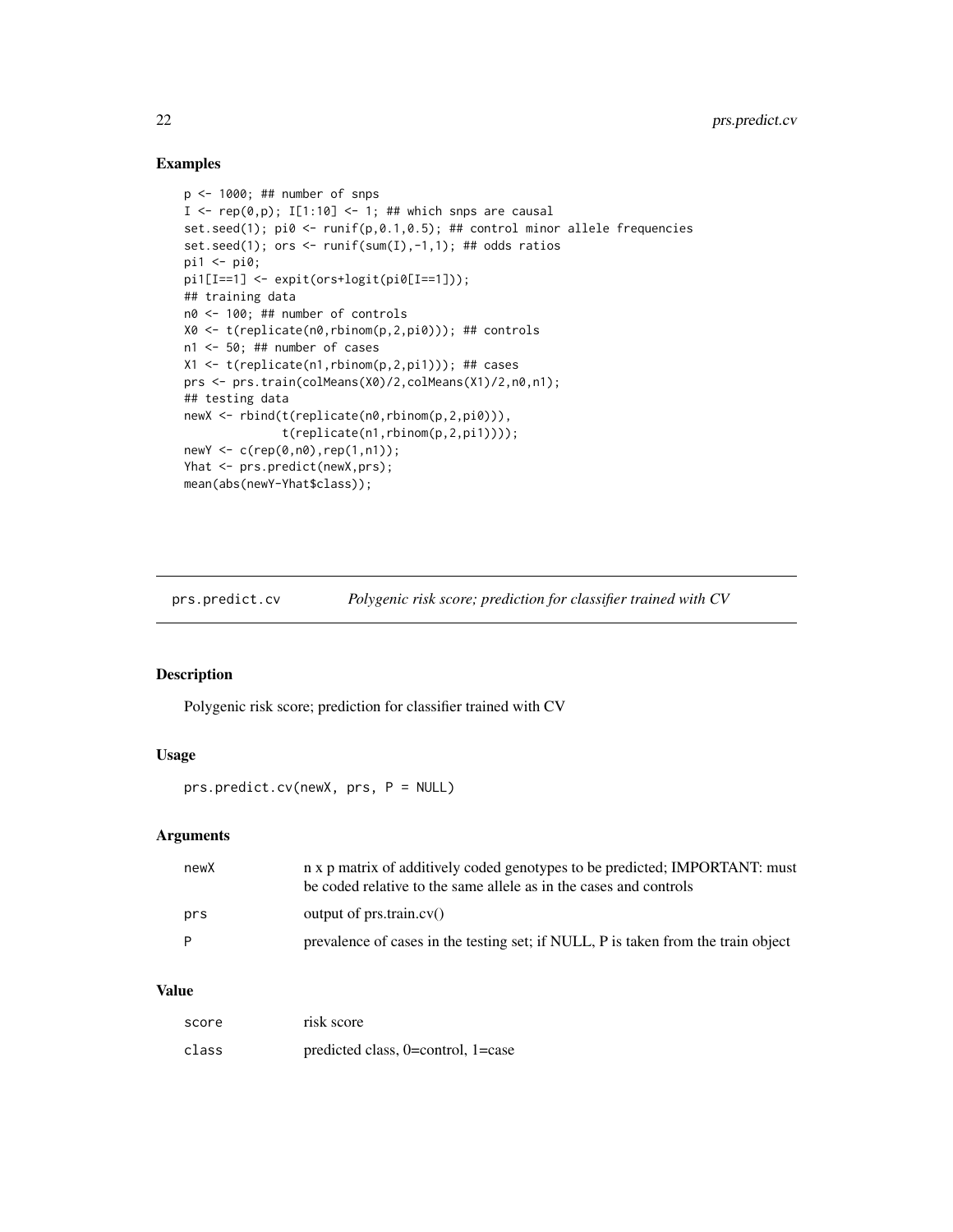#### Examples

```
p <- 1000; ## number of snps
I <- rep(0,p); I[1:10] <- 1; ## which snps are causal
set.seed(1); pi0 <- runif(p,0.1,0.5); ## control minor allele frequencies
set.seed(1); ors <- runif(sum(I),-1,1); ## odds ratios
pi1 <- pi0;
pi1[I==1] <- expit(ors+logit(pi0[I==1]));
## training data
n0 <- 100; ## number of controls
X0 <- t(replicate(n0,rbinom(p,2,pi0))); ## controls
n1 <- 50; ## number of cases
X1 \leftarrow t(replicate(n1,rbinom(p,2,pi1))); ## cases
prs <- prs.train(colMeans(X0)/2,colMeans(X1)/2,n0,n1);
## testing data
newX <- rbind(t(replicate(n0,rbinom(p,2,pi0))),
              t(replicate(n1,rbinom(p,2,pi1))));
newY <- c(rep(0,n0),rep(1,n1));
Yhat <- prs.predict(newX,prs);
mean(abs(newY-Yhat$class));
```
prs.predict.cv *Polygenic risk score; prediction for classifier trained with CV*

#### Description

Polygenic risk score; prediction for classifier trained with CV

#### Usage

prs.predict.cv(newX, prs, P = NULL)

#### Arguments

| newX | n x p matrix of additively coded genotypes to be predicted; IMPORTANT: must<br>be coded relative to the same allele as in the cases and controls |
|------|--------------------------------------------------------------------------------------------------------------------------------------------------|
| prs  | output of prs.train.cv()                                                                                                                         |
| P    | prevalence of cases in the testing set; if NULL, P is taken from the train object                                                                |

| score | risk score                         |
|-------|------------------------------------|
| class | predicted class, 0=control, 1=case |

<span id="page-21-0"></span>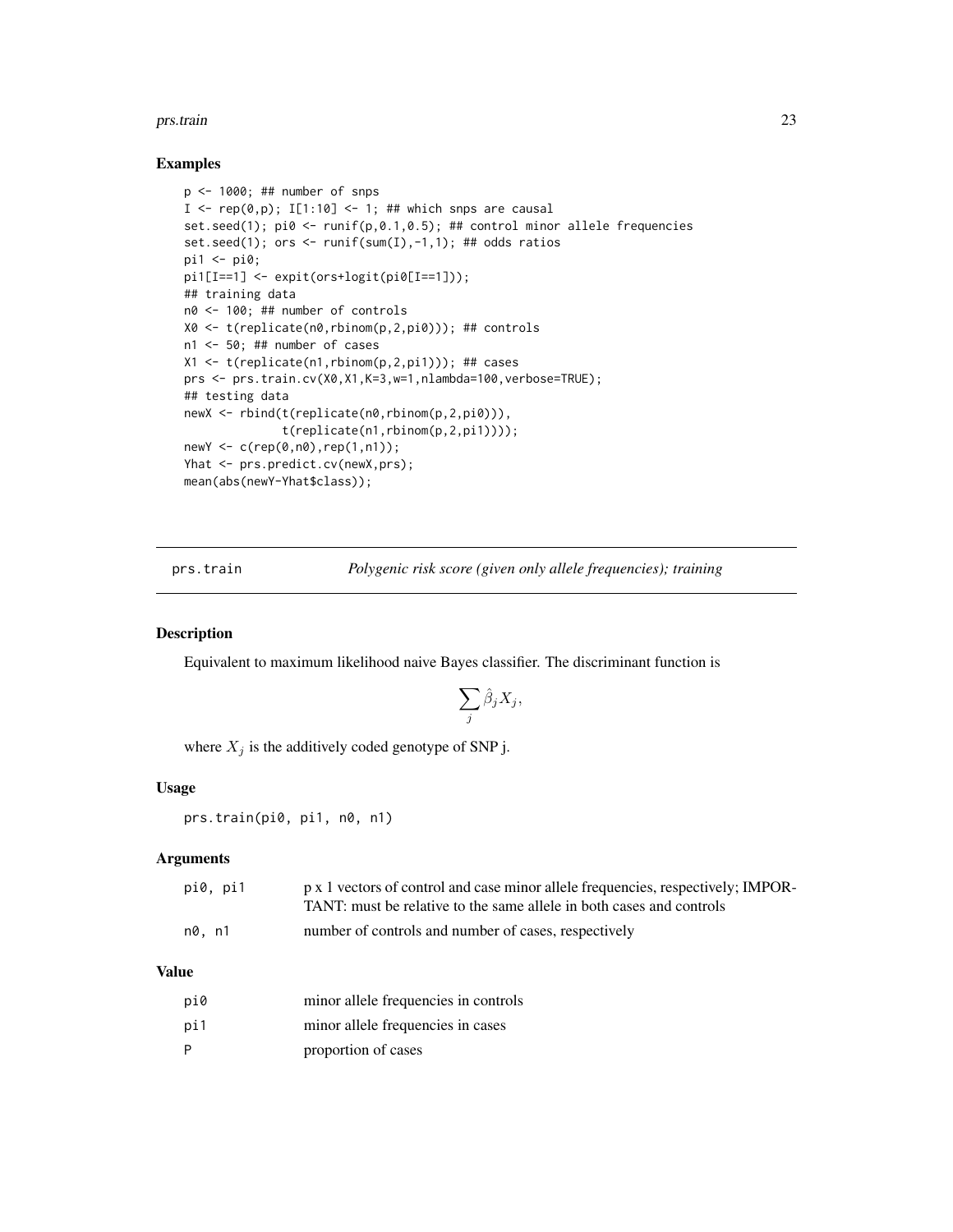#### <span id="page-22-0"></span>prs.train 23

#### Examples

```
p <- 1000; ## number of snps
I \leftarrow \text{rep}(\emptyset, p); I[1:10] \leftarrow 1; ## which snps are causal
set.seed(1); pi \, 0 \le -r \, \text{unif}(p, 0.1, 0.5); ## control minor allele frequencies
set.seed(1); ors <- runif(sum(I),-1,1); ## odds ratios
pi1 <- pi0;
pi1[I==1] <- expit(ors+logit(pi0[I==1]));
## training data
n0 <- 100; ## number of controls
X0 <- t(replicate(n0,rbinom(p,2,pi0))); ## controls
n1 <- 50; ## number of cases
X1 <- t(replicate(n1,rbinom(p,2,pi1))); ## cases
prs <- prs.train.cv(X0,X1,K=3,w=1,nlambda=100,verbose=TRUE);
## testing data
newX <- rbind(t(replicate(n0,rbinom(p,2,pi0))),
               t(replicate(n1,rbinom(p,2,pi1))));
newY <- c(rep(0,n0),rep(1,n1));
Yhat <- prs.predict.cv(newX,prs);
mean(abs(newY-Yhat$class));
```
prs.train *Polygenic risk score (given only allele frequencies); training*

#### Description

Equivalent to maximum likelihood naive Bayes classifier. The discriminant function is

$$
\sum_j \hat{\beta}_j X_j,
$$

where  $X_j$  is the additively coded genotype of SNP j.

#### Usage

prs.train(pi0, pi1, n0, n1)

#### Arguments

| pi0, pi1 | p x 1 vectors of control and case minor allele frequencies, respectively; IMPOR-<br>TANT: must be relative to the same allele in both cases and controls |
|----------|----------------------------------------------------------------------------------------------------------------------------------------------------------|
| n0. n1   | number of controls and number of cases, respectively                                                                                                     |

| pi0 | minor allele frequencies in controls |
|-----|--------------------------------------|
| pi1 | minor allele frequencies in cases    |
| P   | proportion of cases                  |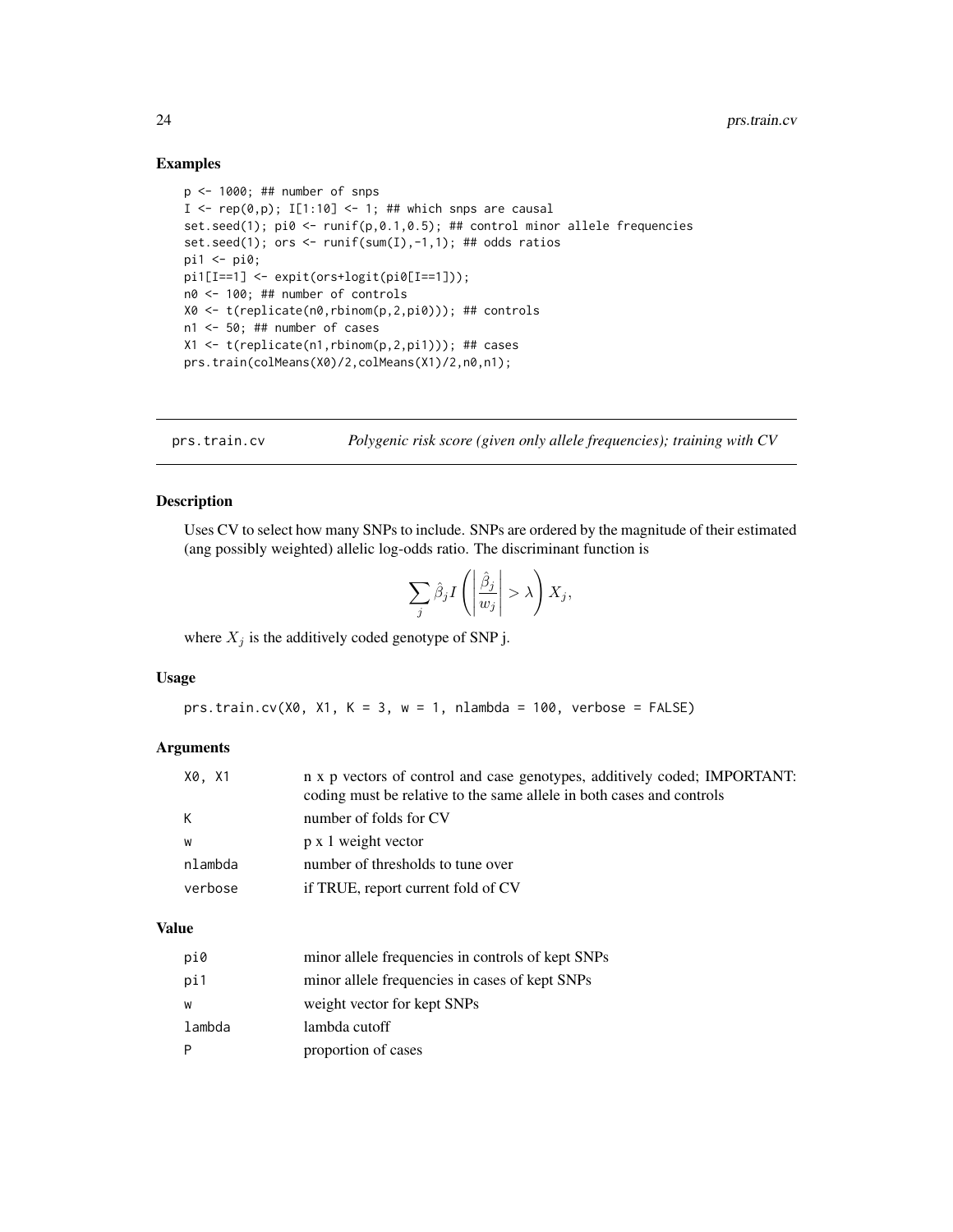#### Examples

```
p <- 1000; ## number of snps
I \leq rep(0,p); I[1:10] \leq 1; ## which snps are causal
set.seed(1); pi \, 8 <- runif(p, 0.1, 0.5); ## control minor allele frequencies
set.seed(1); ors <- runif(sum(I),-1,1); ## odds ratios
pi1 <- pi0;
pi1[I==1] <- expit(ors+logit(pi0[I==1]));
n0 <- 100; ## number of controls
X0 <- t(replicate(n0,rbinom(p,2,pi0))); ## controls
n1 <- 50; ## number of cases
X1 <- t(replicate(n1,rbinom(p,2,pi1))); ## cases
prs.train(colMeans(X0)/2,colMeans(X1)/2,n0,n1);
```
prs.train.cv *Polygenic risk score (given only allele frequencies); training with CV*

#### Description

Uses CV to select how many SNPs to include. SNPs are ordered by the magnitude of their estimated (ang possibly weighted) allelic log-odds ratio. The discriminant function is

$$
\sum_{j} \hat{\beta}_{j} I\left(\left|\frac{\hat{\beta}_{j}}{w_{j}}\right| > \lambda\right) X_{j},
$$

where  $X_j$  is the additively coded genotype of SNP j.

#### Usage

```
prs.train.cv(X0, X1, K = 3, w = 1, nlambda = 100, verbose = FALSE)
```
#### Arguments

| X0, X1  | n x p vectors of control and case genotypes, additively coded; IMPORTANT:<br>coding must be relative to the same allele in both cases and controls |
|---------|----------------------------------------------------------------------------------------------------------------------------------------------------|
| K.      | number of folds for CV                                                                                                                             |
| w       | p x 1 weight vector                                                                                                                                |
| nlambda | number of thresholds to tune over                                                                                                                  |
| verbose | if TRUE, report current fold of CV                                                                                                                 |

| pi0    | minor allele frequencies in controls of kept SNPs |
|--------|---------------------------------------------------|
| pi1    | minor allele frequencies in cases of kept SNPs    |
| W      | weight vector for kept SNPs                       |
| lambda | lambda cutoff                                     |
| P      | proportion of cases                               |

<span id="page-23-0"></span>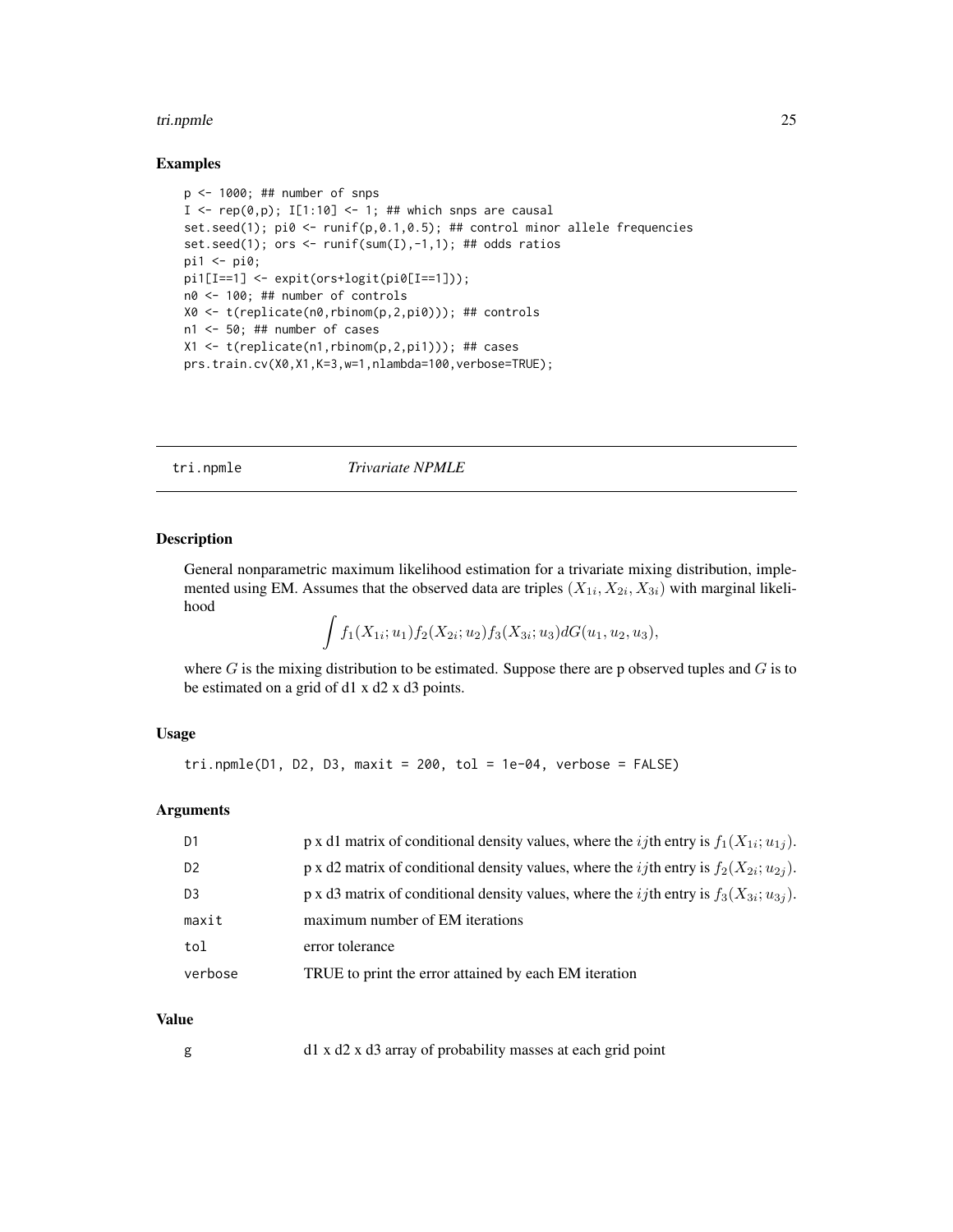#### <span id="page-24-0"></span>tri.npmle 25

#### Examples

```
p \le -1000; ## number of snps
I \leq rep(0,p); I[1:10] \leq 1; ## which snps are causal
set.seed(1); pi0 <- runif(p,0.1,0.5); ## control minor allele frequencies
set.seed(1); ors <- runif(sum(I),-1,1); ## odds ratios
pi1 <- pi0;
pi1[I==1] <- expit(ors+logit(pi0[I==1]));
n0 <- 100; ## number of controls
X0 <- t(replicate(n0,rbinom(p,2,pi0))); ## controls
n1 <- 50; ## number of cases
X1 <- t(replicate(n1,rbinom(p,2,pi1))); ## cases
prs.train.cv(X0,X1,K=3,w=1,nlambda=100,verbose=TRUE);
```
#### tri.npmle *Trivariate NPMLE*

#### Description

General nonparametric maximum likelihood estimation for a trivariate mixing distribution, implemented using EM. Assumes that the observed data are triples  $(X_{1i}, X_{2i}, X_{3i})$  with marginal likelihood

$$
\int f_1(X_{1i}; u_1) f_2(X_{2i}; u_2) f_3(X_{3i}; u_3) dG(u_1, u_2, u_3),
$$

where  $G$  is the mixing distribution to be estimated. Suppose there are p observed tuples and  $G$  is to be estimated on a grid of d1 x d2 x d3 points.

#### Usage

```
tri.npmle(D1, D2, D3, maxit = 200, tol = 1e-04, verbose = FALSE)
```
#### Arguments

| D <sub>1</sub> | p x d1 matrix of conditional density values, where the <i>ij</i> th entry is $f_1(X_{1i}; u_{1i})$ . |
|----------------|------------------------------------------------------------------------------------------------------|
| D <sub>2</sub> | p x d2 matrix of conditional density values, where the <i>ij</i> th entry is $f_2(X_{2i}; u_{2i})$ . |
| D <sub>3</sub> | p x d3 matrix of conditional density values, where the <i>ij</i> th entry is $f_3(X_{3i}; u_{3i})$ . |
| maxit          | maximum number of EM iterations                                                                      |
| tol            | error tolerance                                                                                      |
| verbose        | TRUE to print the error attained by each EM iteration                                                |

#### Value

g d1 x d2 x d3 array of probability masses at each grid point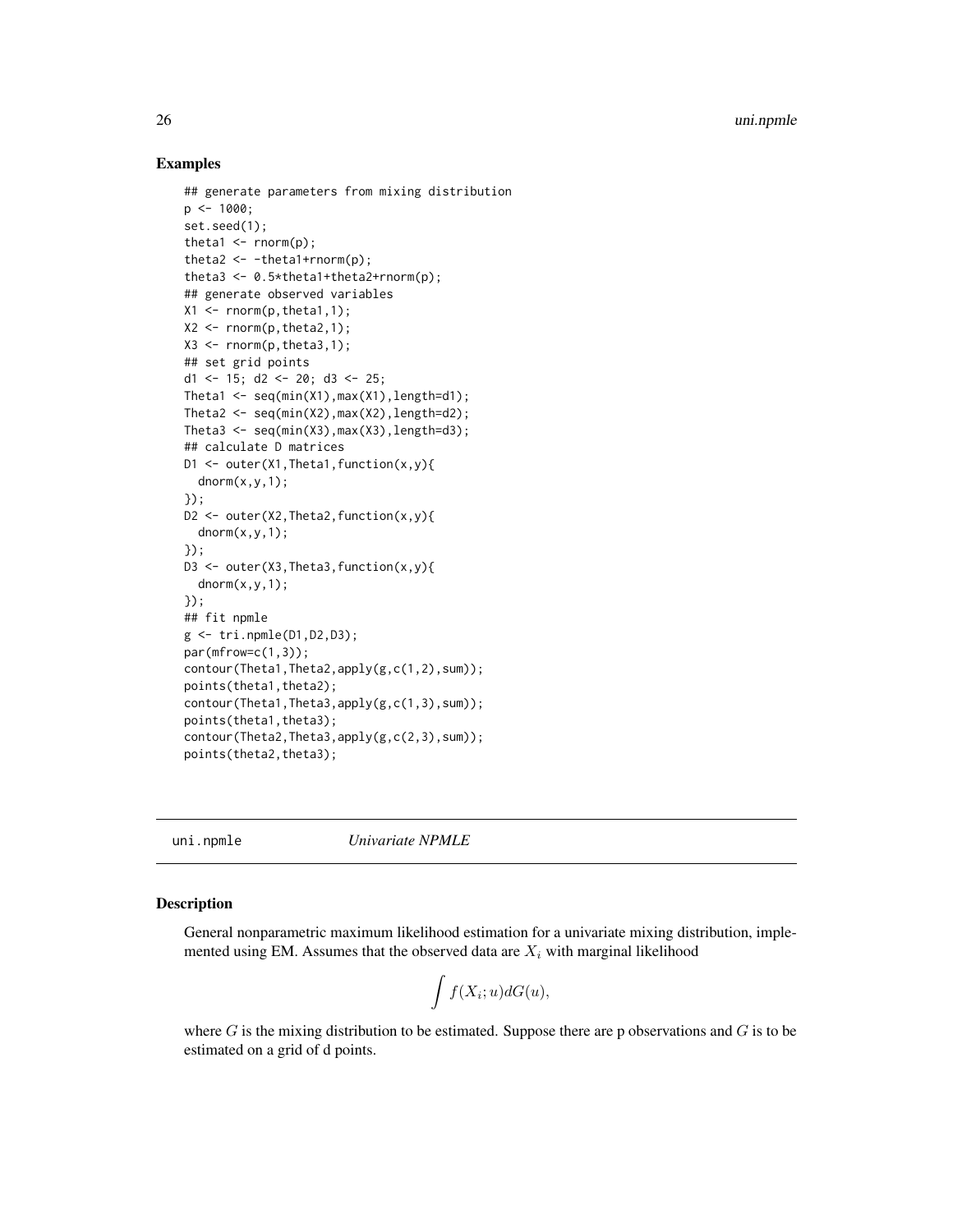#### Examples

```
## generate parameters from mixing distribution
p \le -1000;
set.seed(1);
theta1 \leq rnorm(p);
theta2 \leftarrow -theta1+rnorm(p);
theta3 <- 0.5*theta1+theta2+rnorm(p);
## generate observed variables
X1 \leftarrow \text{norm}(p, \text{theta1}, 1);X2 \leq -rnorm(p, theta2, 1);X3 \leq rnorm(p,theta3,1);## set grid points
d1 <- 15; d2 <- 20; d3 <- 25;
Theta1 \leq seq(min(X1), max(X1), length=d1);
Theta2 \leq seq(min(X2), max(X2), length=d2);
Theta3 \leq seq(min(X3), max(X3), length=d3);
## calculate D matrices
D1 <- outer(X1,Theta1,function(x,y){
  dnorm(x, y, 1);});
D2 \le - outer(X2, Theta2, function(x, y){
  dnorm(x,y,1);});
D3 \leq outer(X3, Theta3, function(x, y){
  dnorm(x, y, 1);});
## fit npmle
g <- tri.npmle(D1,D2,D3);
par(mfrow=c(1,3));
contour(Theta1,Theta2,apply(g,c(1,2),sum));
points(theta1,theta2);
contour(Theta1,Theta3,apply(g,c(1,3),sum));
points(theta1,theta3);
contour(Theta2,Theta3,apply(g,c(2,3),sum));
points(theta2,theta3);
```
uni.npmle *Univariate NPMLE*

#### Description

General nonparametric maximum likelihood estimation for a univariate mixing distribution, implemented using EM. Assumes that the observed data are  $X_i$  with marginal likelihood

$$
\int f(X_i; u)dG(u),
$$

where  $G$  is the mixing distribution to be estimated. Suppose there are p observations and  $G$  is to be estimated on a grid of d points.

<span id="page-25-0"></span>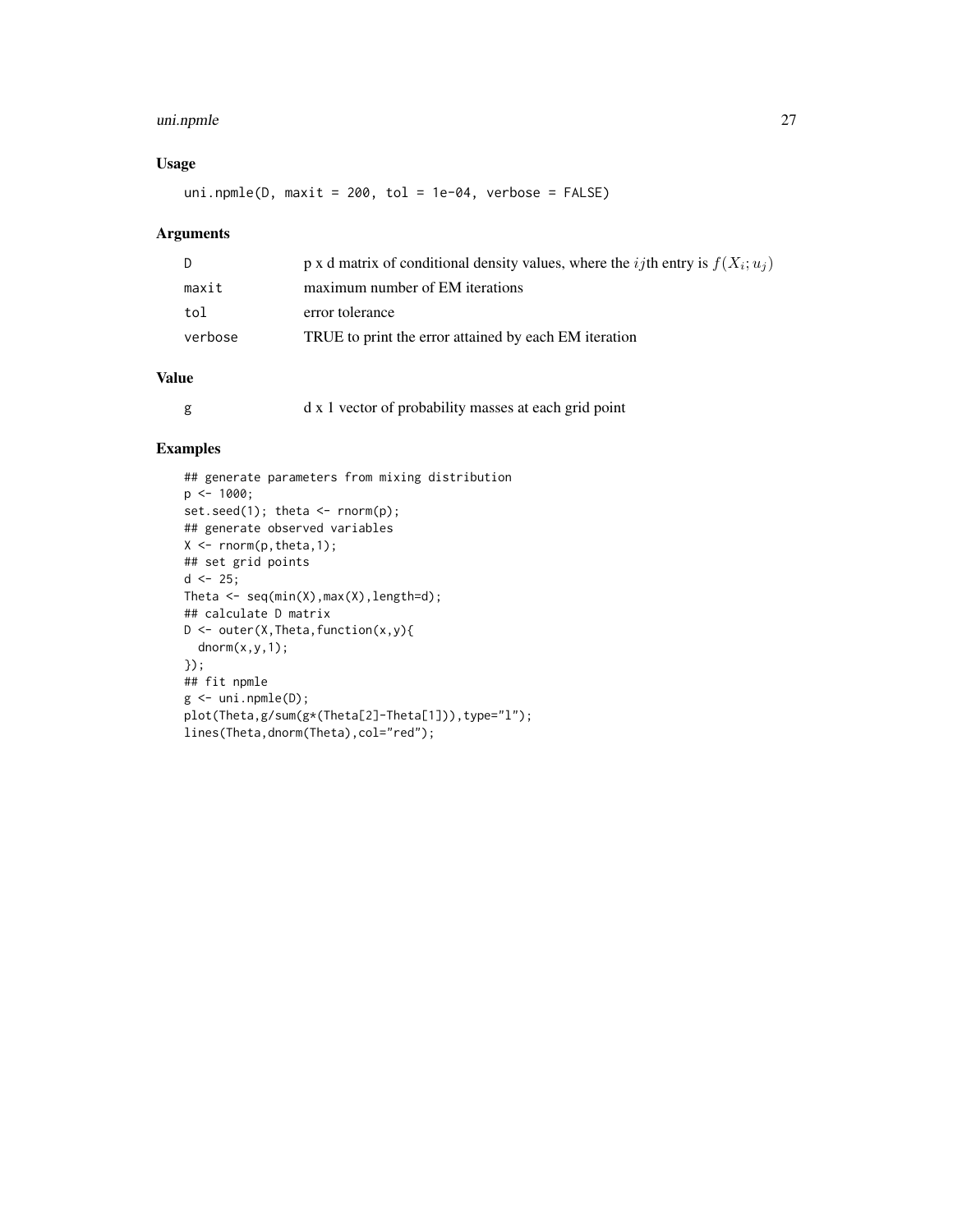#### uni.npmle 27

#### Usage

uni.npmle(D, maxit = 200, tol = 1e-04, verbose = FALSE)

#### Arguments

| D.      | p x d matrix of conditional density values, where the <i>ij</i> th entry is $f(X_i; u_i)$ |
|---------|-------------------------------------------------------------------------------------------|
| maxit   | maximum number of EM iterations                                                           |
| tol     | error tolerance                                                                           |
| verbose | TRUE to print the error attained by each EM iteration                                     |

#### Value

|  |  | d x 1 vector of probability masses at each grid point |  |  |  |  |
|--|--|-------------------------------------------------------|--|--|--|--|
|--|--|-------------------------------------------------------|--|--|--|--|

#### Examples

```
## generate parameters from mixing distribution
p <- 1000;
set.seed(1); theta <- rnorm(p);
## generate observed variables
X \leftarrow \text{norm}(p, \text{theta}, 1);## set grid points
d \le -25;Theta \leq seq(min(X), max(X), length=d);
## calculate D matrix
D \leftarrow outer(X, Theta, function(x, y){
  dnorm(x,y,1);
});
## fit npmle
g <- uni.npmle(D);
plot(Theta,g/sum(g*(Theta[2]-Theta[1])),type="l");
lines(Theta,dnorm(Theta),col="red");
```